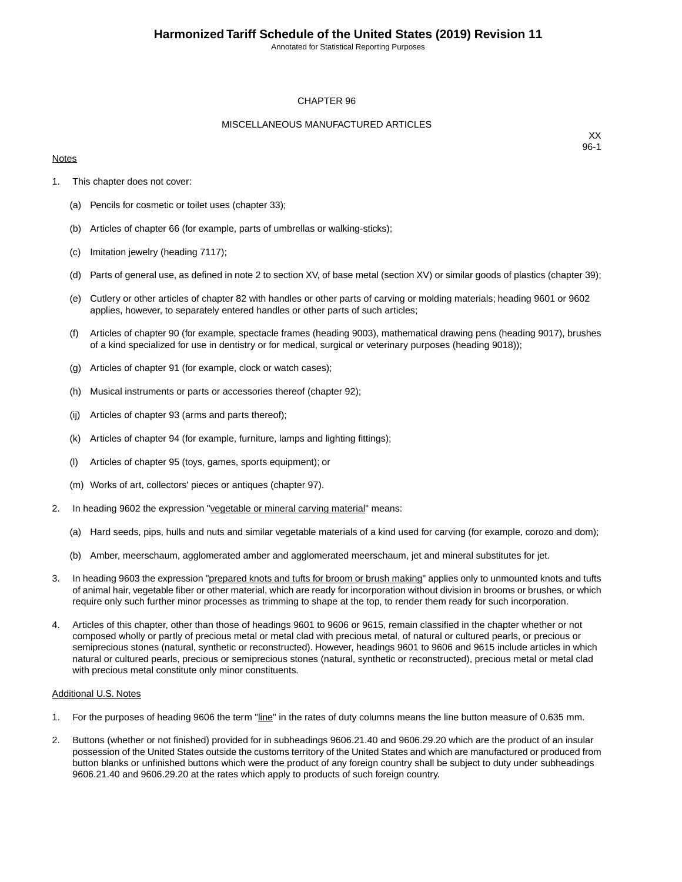Annotated for Statistical Reporting Purposes

#### CHAPTER 96

#### MISCELLANEOUS MANUFACTURED ARTICLES

#### **Notes**

XX 96-1

- 1. This chapter does not cover:
	- (a) Pencils for cosmetic or toilet uses (chapter 33);
	- (b) Articles of chapter 66 (for example, parts of umbrellas or walking-sticks);
	- (c) Imitation jewelry (heading 7117);
	- (d) Parts of general use, as defined in note 2 to section XV, of base metal (section XV) or similar goods of plastics (chapter 39);
	- (e) Cutlery or other articles of chapter 82 with handles or other parts of carving or molding materials; heading 9601 or 9602 applies, however, to separately entered handles or other parts of such articles;
	- (f) Articles of chapter 90 (for example, spectacle frames (heading 9003), mathematical drawing pens (heading 9017), brushes of a kind specialized for use in dentistry or for medical, surgical or veterinary purposes (heading 9018));
	- (g) Articles of chapter 91 (for example, clock or watch cases);
	- (h) Musical instruments or parts or accessories thereof (chapter 92);
	- (ij) Articles of chapter 93 (arms and parts thereof);
	- (k) Articles of chapter 94 (for example, furniture, lamps and lighting fittings);
	- (l) Articles of chapter 95 (toys, games, sports equipment); or
	- (m) Works of art, collectors' pieces or antiques (chapter 97).
- 2. In heading 9602 the expression "vegetable or mineral carving material" means:
	- (a) Hard seeds, pips, hulls and nuts and similar vegetable materials of a kind used for carving (for example, corozo and dom);
	- (b) Amber, meerschaum, agglomerated amber and agglomerated meerschaum, jet and mineral substitutes for jet.
- 3. In heading 9603 the expression "prepared knots and tufts for broom or brush making" applies only to unmounted knots and tufts of animal hair, vegetable fiber or other material, which are ready for incorporation without division in brooms or brushes, or which require only such further minor processes as trimming to shape at the top, to render them ready for such incorporation.
- 4. Articles of this chapter, other than those of headings 9601 to 9606 or 9615, remain classified in the chapter whether or not composed wholly or partly of precious metal or metal clad with precious metal, of natural or cultured pearls, or precious or semiprecious stones (natural, synthetic or reconstructed). However, headings 9601 to 9606 and 9615 include articles in which natural or cultured pearls, precious or semiprecious stones (natural, synthetic or reconstructed), precious metal or metal clad with precious metal constitute only minor constituents.

#### Additional U.S. Notes

- 1. For the purposes of heading 9606 the term "line" in the rates of duty columns means the line button measure of 0.635 mm.
- 2. Buttons (whether or not finished) provided for in subheadings 9606.21.40 and 9606.29.20 which are the product of an insular possession of the United States outside the customs territory of the United States and which are manufactured or produced from button blanks or unfinished buttons which were the product of any foreign country shall be subject to duty under subheadings 9606.21.40 and 9606.29.20 at the rates which apply to products of such foreign country.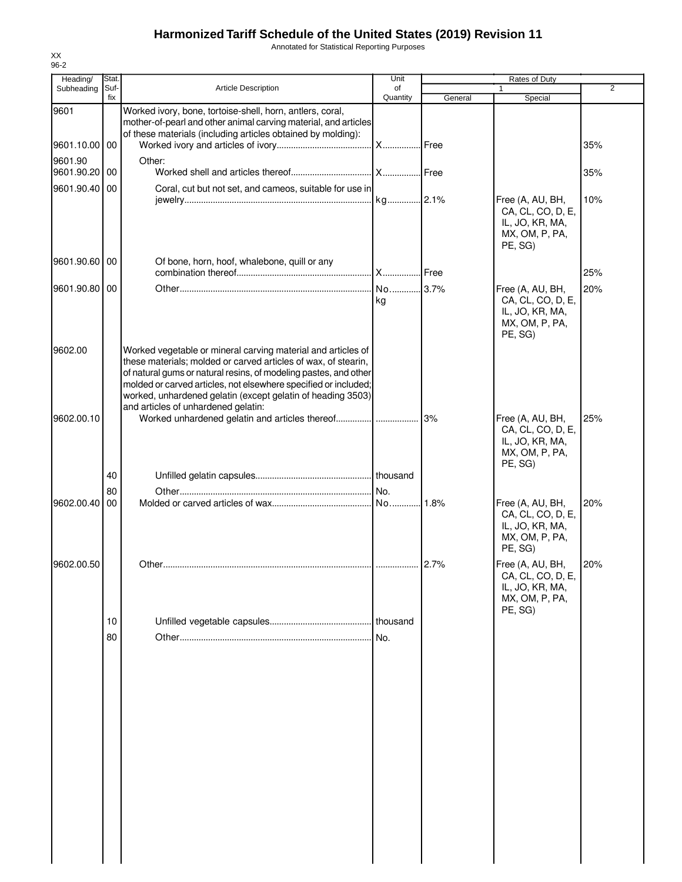Annotated for Statistical Reporting Purposes

| Heading/      | Stat.       |                                                                                                                                                                                                                                                                                                                                                                             | Unit           |               | Rates of Duty                                                                         |                |
|---------------|-------------|-----------------------------------------------------------------------------------------------------------------------------------------------------------------------------------------------------------------------------------------------------------------------------------------------------------------------------------------------------------------------------|----------------|---------------|---------------------------------------------------------------------------------------|----------------|
| Subheading    | Suf-<br>fix | <b>Article Description</b>                                                                                                                                                                                                                                                                                                                                                  | of<br>Quantity | General       | Special                                                                               | $\overline{2}$ |
| 9601          |             | Worked ivory, bone, tortoise-shell, horn, antlers, coral,<br>mother-of-pearl and other animal carving material, and articles                                                                                                                                                                                                                                                |                |               |                                                                                       |                |
| 9601.10.00 00 |             | of these materials (including articles obtained by molding):                                                                                                                                                                                                                                                                                                                | X Free         |               |                                                                                       | 35%            |
| 9601.90       |             | Other:                                                                                                                                                                                                                                                                                                                                                                      |                |               |                                                                                       |                |
| 9601.90.20 00 |             |                                                                                                                                                                                                                                                                                                                                                                             |                |               |                                                                                       | 35%            |
| 9601.90.40    | 00          | Coral, cut but not set, and cameos, suitable for use in                                                                                                                                                                                                                                                                                                                     |                |               | Free (A, AU, BH,<br>CA, CL, CO, D, E,<br>IL, JO, KR, MA,<br>MX, OM, P, PA,<br>PE, SG) | 10%            |
| 9601.90.60 00 |             | Of bone, horn, hoof, whalebone, quill or any                                                                                                                                                                                                                                                                                                                                |                | <b>I</b> Free |                                                                                       | 25%            |
| 9601.90.80 00 |             |                                                                                                                                                                                                                                                                                                                                                                             | No 3.7%        |               | Free (A, AU, BH,                                                                      | 20%            |
|               |             |                                                                                                                                                                                                                                                                                                                                                                             | kg             |               | CA, CL, CO, D, E,<br>IL, JO, KR, MA,<br>MX, OM, P, PA,<br>PE, SG)                     |                |
| 9602.00       |             | Worked vegetable or mineral carving material and articles of<br>these materials; molded or carved articles of wax, of stearin,<br>of natural gums or natural resins, of modeling pastes, and other<br>molded or carved articles, not elsewhere specified or included;<br>worked, unhardened gelatin (except gelatin of heading 3503)<br>and articles of unhardened gelatin: |                |               |                                                                                       |                |
| 9602.00.10    |             |                                                                                                                                                                                                                                                                                                                                                                             |                |               | Free (A, AU, BH,<br>CA, CL, CO, D, E,<br>IL, JO, KR, MA,<br>MX, OM, P, PA,<br>PE, SG) | 25%            |
|               | 40          |                                                                                                                                                                                                                                                                                                                                                                             |                |               |                                                                                       |                |
|               | 80          |                                                                                                                                                                                                                                                                                                                                                                             |                |               |                                                                                       |                |
| 9602.00.40    | 00          |                                                                                                                                                                                                                                                                                                                                                                             |                |               | Free (A, AU, BH,<br>CA, CL, CO, D, E,<br>IL, JO, KR, MA,<br>MX, OM, P, PA,<br>PE, SG) | 20%            |
| 9602.00.50    |             |                                                                                                                                                                                                                                                                                                                                                                             |                | 2.7%          | Free (A, AU, BH,<br>CA, CL, CO, D, E,<br>IL, JO, KR, MA,<br>MX, OM, P, PA,<br>PE, SG) | 20%            |
|               | 10          |                                                                                                                                                                                                                                                                                                                                                                             |                |               |                                                                                       |                |
|               | 80          |                                                                                                                                                                                                                                                                                                                                                                             | No.            |               |                                                                                       |                |
|               |             |                                                                                                                                                                                                                                                                                                                                                                             |                |               |                                                                                       |                |
|               |             |                                                                                                                                                                                                                                                                                                                                                                             |                |               |                                                                                       |                |
|               |             |                                                                                                                                                                                                                                                                                                                                                                             |                |               |                                                                                       |                |
|               |             |                                                                                                                                                                                                                                                                                                                                                                             |                |               |                                                                                       |                |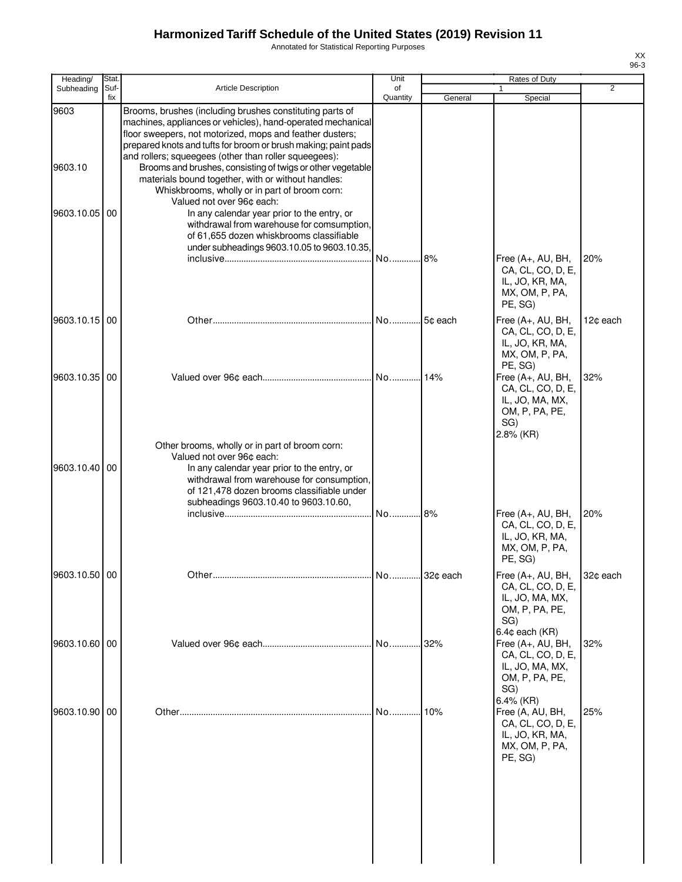9603

9603.10

Annotated for Statistical Reporting Purposes

| <b>Stat</b><br>Suf- | <b>Article Description</b>                                                                                                                                                                                                                                                                                                                                                                                                                                                                                                                                                                                                                 | Unit<br>of                                     |                                                                                    | Rates of Duty                                                                                   | 2                                                                                                         |
|---------------------|--------------------------------------------------------------------------------------------------------------------------------------------------------------------------------------------------------------------------------------------------------------------------------------------------------------------------------------------------------------------------------------------------------------------------------------------------------------------------------------------------------------------------------------------------------------------------------------------------------------------------------------------|------------------------------------------------|------------------------------------------------------------------------------------|-------------------------------------------------------------------------------------------------|-----------------------------------------------------------------------------------------------------------|
| fix                 |                                                                                                                                                                                                                                                                                                                                                                                                                                                                                                                                                                                                                                            | Quantity                                       | General                                                                            | Special                                                                                         |                                                                                                           |
| 00                  | Brooms, brushes (including brushes constituting parts of<br>machines, appliances or vehicles), hand-operated mechanical<br>floor sweepers, not motorized, mops and feather dusters;<br>prepared knots and tufts for broom or brush making; paint pads<br>and rollers; squeegees (other than roller squeegees):<br>materials bound together, with or without handles:<br>Whiskbrooms, wholly or in part of broom corn:<br>Valued not over 96¢ each:<br>In any calendar year prior to the entry, or<br>withdrawal from warehouse for comsumption,<br>of 61,655 dozen whiskbrooms classifiable<br>under subheadings 9603.10.05 to 9603.10.35, |                                                |                                                                                    |                                                                                                 | 20%                                                                                                       |
|                     |                                                                                                                                                                                                                                                                                                                                                                                                                                                                                                                                                                                                                                            |                                                |                                                                                    | CA, CL, CO, D, E,<br>IL, JO, KR, MA,<br>MX, OM, P, PA,<br>PE, SG)                               |                                                                                                           |
|                     |                                                                                                                                                                                                                                                                                                                                                                                                                                                                                                                                                                                                                                            |                                                |                                                                                    | CA, CL, CO, D, E,<br>IL, JO, KR, MA,<br>MX, OM, P, PA,<br>PE, SG)                               | 12¢ each                                                                                                  |
|                     |                                                                                                                                                                                                                                                                                                                                                                                                                                                                                                                                                                                                                                            |                                                | 14%                                                                                | Free (A+, AU, BH,<br>CA, CL, CO, D, E,<br>IL, JO, MA, MX,<br>OM, P, PA, PE,<br>SG)<br>2.8% (KR) | 32%                                                                                                       |
|                     | Valued not over 96¢ each:<br>In any calendar year prior to the entry, or<br>withdrawal from warehouse for consumption,<br>of 121,478 dozen brooms classifiable under<br>subheadings 9603.10.40 to 9603.10.60,                                                                                                                                                                                                                                                                                                                                                                                                                              |                                                |                                                                                    | Free (A+, AU, BH,<br>CA, CL, CO, D, E,<br>IL, JO, KR, MA,<br>MX, OM, P, PA,                     | 20%                                                                                                       |
|                     |                                                                                                                                                                                                                                                                                                                                                                                                                                                                                                                                                                                                                                            |                                                |                                                                                    |                                                                                                 |                                                                                                           |
|                     |                                                                                                                                                                                                                                                                                                                                                                                                                                                                                                                                                                                                                                            |                                                |                                                                                    | CA, CL, CO, D, E,<br>IL, JO, MA, MX,<br>OM, P, PA, PE,<br>SG)                                   | 32¢ each                                                                                                  |
|                     |                                                                                                                                                                                                                                                                                                                                                                                                                                                                                                                                                                                                                                            |                                                |                                                                                    | Free (A+, AU, BH,<br>CA, CL, CO, D, E,<br>IL, JO, MA, MX,<br>OM, P, PA, PE,<br>SG)              | 32%                                                                                                       |
|                     |                                                                                                                                                                                                                                                                                                                                                                                                                                                                                                                                                                                                                                            | No                                             | 10%                                                                                | Free (A, AU, BH,<br>CA, CL, CO, D, E,<br>IL, JO, KR, MA,<br>MX, OM, P, PA,<br>PE, SG)           | 25%                                                                                                       |
|                     | 9603.10.05<br>9603.10.15 00<br>9603.10.35 00<br>9603.10.40   00<br>9603.10.50 00<br>9603.10.60 00<br>9603.10.90 00                                                                                                                                                                                                                                                                                                                                                                                                                                                                                                                         | Other brooms, wholly or in part of broom corn: | Brooms and brushes, consisting of twigs or other vegetable<br>No<br>No<br>No<br>No | No 8%<br>5¢ each<br>8%<br>32¢ each<br>No 32%                                                    | Free (A+, AU, BH,<br>Free (A+, AU, BH,<br>PE, SG)<br>Free (A+, AU, BH,<br>$6.4¢$ each $(KR)$<br>6.4% (KR) |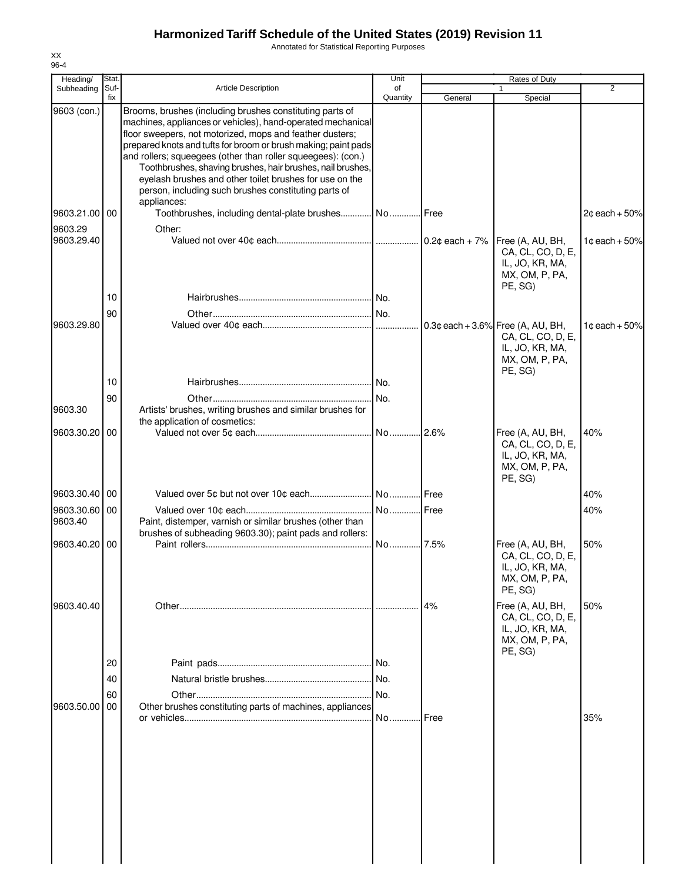Annotated for Statistical Reporting Purposes

| Heading/                 | Stat.       |                                                                                                                                                                                                                                                                                                                                                                                                                                                                                                        | Unit           |         | Rates of Duty                                                                                             |                           |
|--------------------------|-------------|--------------------------------------------------------------------------------------------------------------------------------------------------------------------------------------------------------------------------------------------------------------------------------------------------------------------------------------------------------------------------------------------------------------------------------------------------------------------------------------------------------|----------------|---------|-----------------------------------------------------------------------------------------------------------|---------------------------|
| Subheading               | Suf-<br>fix | <b>Article Description</b>                                                                                                                                                                                                                                                                                                                                                                                                                                                                             | of<br>Quantity | General | $\mathbf{1}$<br>Special                                                                                   | 2                         |
| 9603 (con.)              |             | Brooms, brushes (including brushes constituting parts of<br>machines, appliances or vehicles), hand-operated mechanical<br>floor sweepers, not motorized, mops and feather dusters;<br>prepared knots and tufts for broom or brush making; paint pads<br>and rollers; squeegees (other than roller squeegees): (con.)<br>Toothbrushes, shaving brushes, hair brushes, nail brushes,<br>eyelash brushes and other toilet brushes for use on the<br>person, including such brushes constituting parts of |                |         |                                                                                                           |                           |
| 9603.21.00 00            |             | appliances:<br>Toothbrushes, including dental-plate brushes No Free                                                                                                                                                                                                                                                                                                                                                                                                                                    |                |         |                                                                                                           | $2¢$ each + 50%           |
| 9603.29                  |             | Other:                                                                                                                                                                                                                                                                                                                                                                                                                                                                                                 |                |         |                                                                                                           |                           |
| 9603.29.40               |             |                                                                                                                                                                                                                                                                                                                                                                                                                                                                                                        |                |         | Free (A, AU, BH,<br>CA, CL, CO, D, E,<br>IL, JO, KR, MA,<br>MX, OM, P, PA,<br>PE, SG)                     | $1¢$ each + 50%           |
|                          | 10          |                                                                                                                                                                                                                                                                                                                                                                                                                                                                                                        |                |         |                                                                                                           |                           |
|                          | 90          |                                                                                                                                                                                                                                                                                                                                                                                                                                                                                                        |                |         |                                                                                                           |                           |
| 9603.29.80               |             |                                                                                                                                                                                                                                                                                                                                                                                                                                                                                                        |                |         | $0.3$ ¢ each + 3.6% Free (A, AU, BH,<br>CA, CL, CO, D, E,<br>IL, JO, KR, MA,<br>MX, OM, P, PA,<br>PE, SG) | 1 $\texttt{c}$ each + 50% |
|                          | 10          |                                                                                                                                                                                                                                                                                                                                                                                                                                                                                                        |                |         |                                                                                                           |                           |
|                          | 90          |                                                                                                                                                                                                                                                                                                                                                                                                                                                                                                        | No.            |         |                                                                                                           |                           |
| 9603.30                  |             | Artists' brushes, writing brushes and similar brushes for<br>the application of cosmetics:                                                                                                                                                                                                                                                                                                                                                                                                             |                |         |                                                                                                           |                           |
| 9603.30.20 00            |             |                                                                                                                                                                                                                                                                                                                                                                                                                                                                                                        |                |         | Free (A, AU, BH,<br>CA, CL, CO, D, E,<br>IL, JO, KR, MA,<br>MX, OM, P, PA,                                | 40%                       |
|                          |             |                                                                                                                                                                                                                                                                                                                                                                                                                                                                                                        |                |         | PE, SG)                                                                                                   |                           |
| 9603.30.40 00            |             |                                                                                                                                                                                                                                                                                                                                                                                                                                                                                                        |                |         |                                                                                                           | 40%                       |
| 9603.30.60 00<br>9603.40 |             | Paint, distemper, varnish or similar brushes (other than<br>brushes of subheading 9603.30); paint pads and rollers:                                                                                                                                                                                                                                                                                                                                                                                    |                |         |                                                                                                           | 40%                       |
| 9603.40.20 00            |             |                                                                                                                                                                                                                                                                                                                                                                                                                                                                                                        |                |         | Free (A, AU, BH,<br>CA, CL, CO, D, E,<br>IL, JO, KR, MA,<br>MX, OM, P, PA,<br>PE, SG)                     | 50%                       |
| 9603.40.40               |             |                                                                                                                                                                                                                                                                                                                                                                                                                                                                                                        |                | 4%      | Free (A, AU, BH,<br>CA, CL, CO, D, E,<br>IL, JO, KR, MA,<br>MX, OM, P, PA,<br>PE, SG)                     | 50%                       |
|                          | 20          |                                                                                                                                                                                                                                                                                                                                                                                                                                                                                                        |                |         |                                                                                                           |                           |
|                          | 40          |                                                                                                                                                                                                                                                                                                                                                                                                                                                                                                        | No.            |         |                                                                                                           |                           |
|                          | 60          |                                                                                                                                                                                                                                                                                                                                                                                                                                                                                                        | No.            |         |                                                                                                           |                           |
| 9603.50.00               | 00          | Other brushes constituting parts of machines, appliances                                                                                                                                                                                                                                                                                                                                                                                                                                               |                |         |                                                                                                           |                           |
|                          |             |                                                                                                                                                                                                                                                                                                                                                                                                                                                                                                        | No             | Free    |                                                                                                           | 35%                       |
|                          |             |                                                                                                                                                                                                                                                                                                                                                                                                                                                                                                        |                |         |                                                                                                           |                           |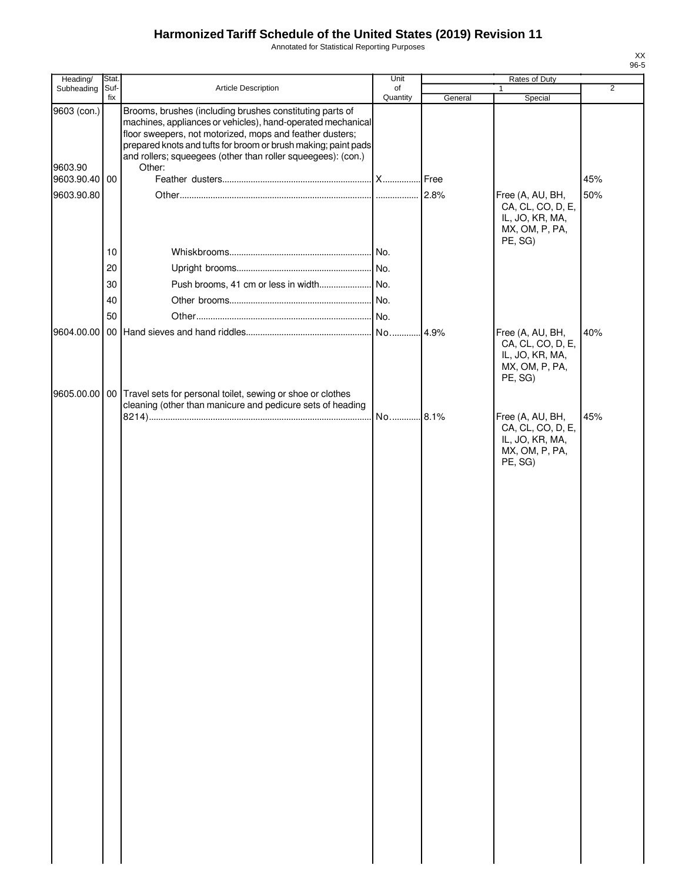Annotated for Statistical Reporting Purposes

| Heading/               | Stat.       |                                                                                                                                                                                                                                                                                                                                 | Unit           |         | <b>Rates of Duty</b>                                                                  |                |
|------------------------|-------------|---------------------------------------------------------------------------------------------------------------------------------------------------------------------------------------------------------------------------------------------------------------------------------------------------------------------------------|----------------|---------|---------------------------------------------------------------------------------------|----------------|
| Subheading             | Suf-<br>fix | Article Description                                                                                                                                                                                                                                                                                                             | of<br>Quantity | General | $\mathbf{1}$<br>Special                                                               | $\overline{2}$ |
| 9603 (con.)<br>9603.90 |             | Brooms, brushes (including brushes constituting parts of<br>machines, appliances or vehicles), hand-operated mechanical<br>floor sweepers, not motorized, mops and feather dusters;<br>prepared knots and tufts for broom or brush making; paint pads<br>and rollers; squeegees (other than roller squeegees): (con.)<br>Other: |                |         |                                                                                       |                |
| 9603.90.40 00          |             |                                                                                                                                                                                                                                                                                                                                 |                |         |                                                                                       | 45%            |
| 9603.90.80             |             |                                                                                                                                                                                                                                                                                                                                 |                |         | Free (A, AU, BH,<br>CA, CL, CO, D, E,<br>IL, JO, KR, MA,<br>MX, OM, P, PA,<br>PE, SG) | 50%            |
|                        | 10          |                                                                                                                                                                                                                                                                                                                                 | .I No.         |         |                                                                                       |                |
|                        | 20          |                                                                                                                                                                                                                                                                                                                                 |                |         |                                                                                       |                |
|                        | 30          |                                                                                                                                                                                                                                                                                                                                 |                |         |                                                                                       |                |
|                        | 40          |                                                                                                                                                                                                                                                                                                                                 |                |         |                                                                                       |                |
|                        | 50          |                                                                                                                                                                                                                                                                                                                                 |                |         |                                                                                       |                |
|                        |             |                                                                                                                                                                                                                                                                                                                                 |                |         | Free (A, AU, BH,<br>CA, CL, CO, D, E,<br>IL, JO, KR, MA,<br>MX, OM, P, PA,<br>PE, SG) | 40%            |
| 9605.00.00             |             | 00 Travel sets for personal toilet, sewing or shoe or clothes<br>cleaning (other than manicure and pedicure sets of heading                                                                                                                                                                                                     | No 8.1%        |         | Free (A, AU, BH,                                                                      | 45%            |
|                        |             |                                                                                                                                                                                                                                                                                                                                 |                |         | CA, CL, CO, D, E,<br>IL, JO, KR, MA,<br>MX, OM, P, PA,<br>PE, SG)                     |                |
|                        |             |                                                                                                                                                                                                                                                                                                                                 |                |         |                                                                                       |                |
|                        |             |                                                                                                                                                                                                                                                                                                                                 |                |         |                                                                                       |                |
|                        |             |                                                                                                                                                                                                                                                                                                                                 |                |         |                                                                                       |                |
|                        |             |                                                                                                                                                                                                                                                                                                                                 |                |         |                                                                                       |                |
|                        |             |                                                                                                                                                                                                                                                                                                                                 |                |         |                                                                                       |                |
|                        |             |                                                                                                                                                                                                                                                                                                                                 |                |         |                                                                                       |                |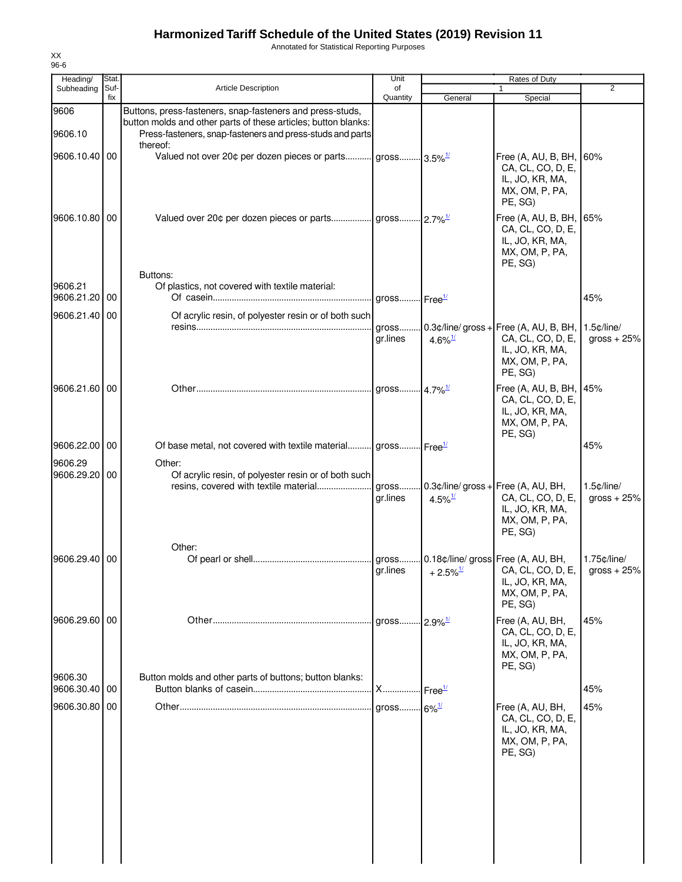Annotated for Statistical Reporting Purposes

| Heading/                 | Stat. |                                                                                                                                         | Unit                        |                                       | Rates of Duty                                                                                                            |                               |
|--------------------------|-------|-----------------------------------------------------------------------------------------------------------------------------------------|-----------------------------|---------------------------------------|--------------------------------------------------------------------------------------------------------------------------|-------------------------------|
| Subheading               | Suf-  | Article Description                                                                                                                     | of                          |                                       |                                                                                                                          | $\overline{2}$                |
| 9606                     | fix   | Buttons, press-fasteners, snap-fasteners and press-studs,                                                                               | Quantity                    | General                               | Special                                                                                                                  |                               |
| 9606.10                  |       | button molds and other parts of these articles; button blanks:<br>Press-fasteners, snap-fasteners and press-studs and parts<br>thereof: |                             |                                       |                                                                                                                          |                               |
| 9606.10.40 00            |       | Valued not over 20¢ per dozen pieces or parts gross 3.5% <sup>1/</sup>                                                                  |                             |                                       | Free (A, AU, B, BH,<br>CA, CL, CO, D, E,<br>IL, JO, KR, MA,<br>MX, OM, P, PA,<br>PE, SG)                                 | 60%                           |
| 9606.10.80 00            |       |                                                                                                                                         |                             |                                       | Free (A, AU, B, BH,<br>CA, CL, CO, D, E,<br>IL, JO, KR, MA,<br>MX, OM, P, PA,<br>PE, SG)                                 | 65%                           |
| 9606.21<br>9606.21.20    | 00    | Buttons:<br>Of plastics, not covered with textile material:                                                                             | gross $r = r^{\frac{1}{2}}$ |                                       |                                                                                                                          | 45%                           |
| 9606.21.40               | 00    | Of acrylic resin, of polyester resin or of both such                                                                                    |                             |                                       |                                                                                                                          |                               |
|                          |       |                                                                                                                                         | gross<br>gr.lines           | 4.6% $\frac{1}{2}$                    | $0.3$ ¢/line/gross + Free (A, AU, B, BH, 1.5¢/line/<br>CA, CL, CO, D, E,<br>IL, JO, KR, MA,<br>MX, OM, P, PA,<br>PE, SG) | gross $+25%$                  |
| 9606.21.60 00            |       |                                                                                                                                         |                             |                                       | Free (A, AU, B, BH, 45%<br>CA, CL, CO, D, E,<br>IL, JO, KR, MA,<br>MX, OM, P, PA,<br>PE, SG)                             |                               |
| 9606.22.00               | 00    | Of base metal, not covered with textile material gross Free <sup>1/</sup>                                                               |                             |                                       |                                                                                                                          | 45%                           |
| 9606.29                  |       | Other:                                                                                                                                  |                             |                                       |                                                                                                                          |                               |
| 9606.29.20               | 00    | Of acrylic resin, of polyester resin or of both such<br>resins, covered with textile material                                           | gr.lines                    | $4.5\%$ <sup>1/</sup>                 | gross $0.3$ $\phi$ /line/gross + Free (A, AU, BH,<br>CA, CL, CO, D, E,<br>IL, JO, KR, MA,<br>MX, OM, P, PA,<br>PE, SG)   | $1.5$ ¢/line/<br>gross $+25%$ |
|                          |       | Other:                                                                                                                                  |                             |                                       |                                                                                                                          |                               |
| 9606.29.40               | 00    |                                                                                                                                         | gr.lines                    | $+2.5\%$ <sup>1/</sup>                | CA, CL, CO, D, E,<br>IL, JO, KR, MA,<br>MX, OM, P, PA,<br>PE, SG)                                                        | 1.75¢/line/<br>gross $+25%$   |
| 9606.29.60               | 00    |                                                                                                                                         | aross                       | $12.9\%$ <sup>1/</sup>                | Free (A, AU, BH,<br>CA, CL, CO, D, E,<br>IL, JO, KR, MA,<br>MX, OM, P, PA,<br>PE, SG)                                    | 45%                           |
| 9606.30<br>9606.30.40 00 |       | Button molds and other parts of buttons; button blanks:                                                                                 | <b>X</b>                    | $\mathsf{I}$ Free $^\mathsf{1\prime}$ |                                                                                                                          | 45%                           |
| 9606.30.80               | 00    |                                                                                                                                         | gross 6% <sup>1/</sup>      |                                       | Free (A, AU, BH,                                                                                                         | 45%                           |
|                          |       |                                                                                                                                         |                             |                                       | CA, CL, CO, D, E,<br>IL, JO, KR, MA,<br>MX, OM, P, PA,<br>PE, SG)                                                        |                               |
|                          |       |                                                                                                                                         |                             |                                       |                                                                                                                          |                               |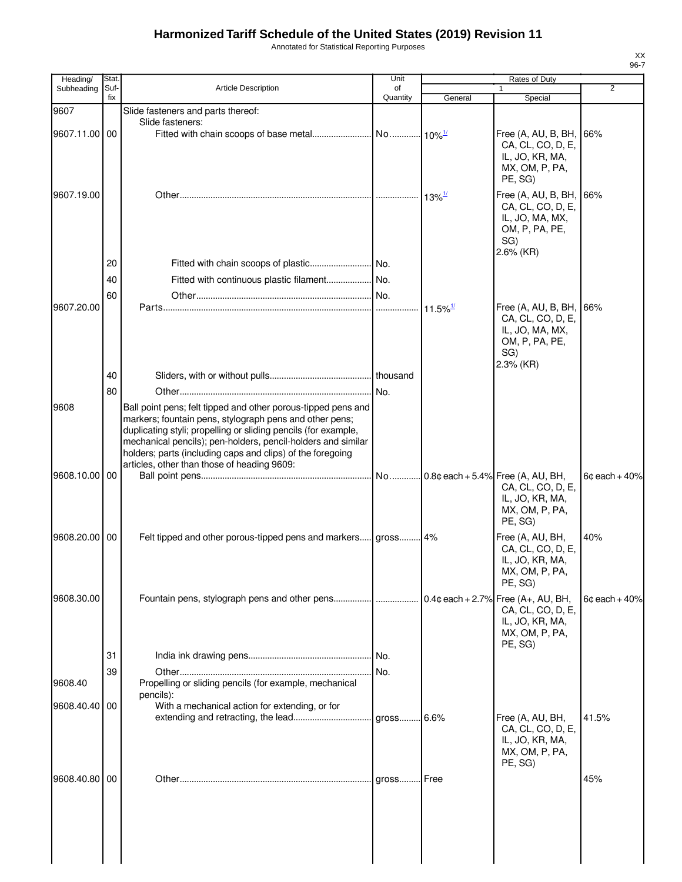Annotated for Statistical Reporting Purposes

| Heading/      | Stat.       |                                                                                                                                                                                                                                                                                                                                                                         | Unit           |                        | Rates of Duty                                                                                              |                 |
|---------------|-------------|-------------------------------------------------------------------------------------------------------------------------------------------------------------------------------------------------------------------------------------------------------------------------------------------------------------------------------------------------------------------------|----------------|------------------------|------------------------------------------------------------------------------------------------------------|-----------------|
| Subheading    | Suf-<br>fix | <b>Article Description</b>                                                                                                                                                                                                                                                                                                                                              | of<br>Quantity | General                | 1<br>Special                                                                                               | $\overline{2}$  |
| 9607          |             | Slide fasteners and parts thereof:                                                                                                                                                                                                                                                                                                                                      |                |                        |                                                                                                            |                 |
|               |             | Slide fasteners:                                                                                                                                                                                                                                                                                                                                                        |                |                        |                                                                                                            |                 |
| 9607.11.00 00 |             |                                                                                                                                                                                                                                                                                                                                                                         |                |                        | Free (A, AU, B, BH,<br>CA, CL, CO, D, E,<br>IL, JO, KR, MA,<br>MX, OM, P, PA,<br>PE, SG)                   | 66%             |
| 9607.19.00    |             |                                                                                                                                                                                                                                                                                                                                                                         |                | $13\%$ <sup>1/</sup>   | Free (A, AU, B, BH,<br>CA, CL, CO, D, E,<br>IL, JO, MA, MX,<br>OM, P, PA, PE,<br>SG)                       | 66%             |
|               | 20          |                                                                                                                                                                                                                                                                                                                                                                         |                |                        | $2.6\%$ (KR)                                                                                               |                 |
|               | 40          | Fitted with continuous plastic filament No.                                                                                                                                                                                                                                                                                                                             |                |                        |                                                                                                            |                 |
|               | 60          |                                                                                                                                                                                                                                                                                                                                                                         |                |                        |                                                                                                            |                 |
| 9607.20.00    |             |                                                                                                                                                                                                                                                                                                                                                                         |                | $11.5\%$ <sup>1/</sup> | Free (A, AU, B, BH,<br>CA, CL, CO, D, E,<br>IL, JO, MA, MX,<br>OM, P, PA, PE,<br>SG)<br>$2.3\%$ (KR)       | 66%             |
|               | 40          |                                                                                                                                                                                                                                                                                                                                                                         |                |                        |                                                                                                            |                 |
| 9608          | 80          | Ball point pens; felt tipped and other porous-tipped pens and<br>markers; fountain pens, stylograph pens and other pens;<br>duplicating styli; propelling or sliding pencils (for example,<br>mechanical pencils); pen-holders, pencil-holders and similar<br>holders; parts (including caps and clips) of the foregoing<br>articles, other than those of heading 9609: |                |                        |                                                                                                            |                 |
| 9608.10.00    | 00          |                                                                                                                                                                                                                                                                                                                                                                         |                |                        | CA, CL, CO, D, E,<br>IL, JO, KR, MA,<br>MX, OM, P, PA,<br>PE, SG)                                          | $6¢$ each + 40% |
| 9608.20.00 00 |             | Felt tipped and other porous-tipped pens and markers gross 4%                                                                                                                                                                                                                                                                                                           |                |                        | Free (A, AU, BH,<br>CA, CL, CO, D, E,<br>IL, JO, KR, MA,<br>MX, OM, P, PA,<br>PE, SG)                      | 40%             |
| 9608.30.00    |             | Fountain pens, stylograph pens and other pens                                                                                                                                                                                                                                                                                                                           |                |                        | $0.4$ ¢ each + 2.7% Free (A+, AU, BH,<br>CA, CL, CO, D, E,<br>IL, JO, KR, MA,<br>MX, OM, P, PA,<br>PE, SG) | $6¢$ each + 40% |
|               | 31          |                                                                                                                                                                                                                                                                                                                                                                         |                |                        |                                                                                                            |                 |
|               | 39          |                                                                                                                                                                                                                                                                                                                                                                         | No.            |                        |                                                                                                            |                 |
| 9608.40       |             | Propelling or sliding pencils (for example, mechanical<br>pencils):                                                                                                                                                                                                                                                                                                     |                |                        |                                                                                                            |                 |
| 9608.40.40    | 00          | With a mechanical action for extending, or for                                                                                                                                                                                                                                                                                                                          |                |                        | Free (A, AU, BH,                                                                                           | 41.5%           |
|               |             |                                                                                                                                                                                                                                                                                                                                                                         |                |                        | CA, CL, CO, D, E,<br>IL, JO, KR, MA,<br>MX, OM, P, PA,<br>PE, SG)                                          |                 |
| 9608.40.80    | 00          |                                                                                                                                                                                                                                                                                                                                                                         |                |                        |                                                                                                            | 45%             |
|               |             |                                                                                                                                                                                                                                                                                                                                                                         |                |                        |                                                                                                            |                 |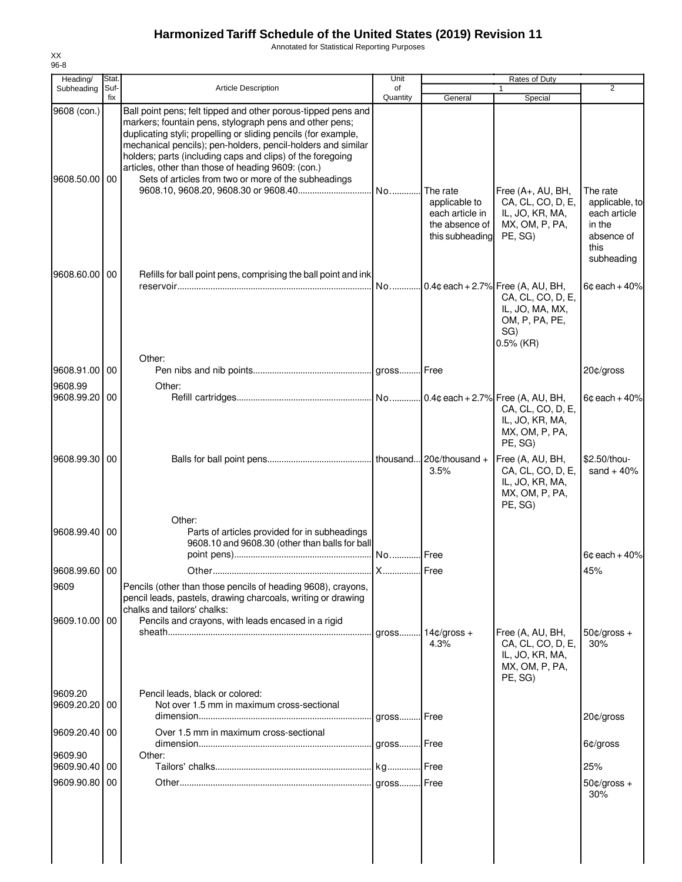Annotated for Statistical Reporting Purposes

| Heading/                     | Stat.       |                                                                                                                                                                                                                                                                                                                                                                                                                                        | Unit           |                                                                                   | Rates of Duty                                                                                                      |                                                                            |
|------------------------------|-------------|----------------------------------------------------------------------------------------------------------------------------------------------------------------------------------------------------------------------------------------------------------------------------------------------------------------------------------------------------------------------------------------------------------------------------------------|----------------|-----------------------------------------------------------------------------------|--------------------------------------------------------------------------------------------------------------------|----------------------------------------------------------------------------|
| Subheading                   | Suf-<br>fix | <b>Article Description</b>                                                                                                                                                                                                                                                                                                                                                                                                             | of<br>Quantity | General                                                                           | 1<br>Special                                                                                                       | 2                                                                          |
| 9608 (con.)<br>9608.50.00 00 |             | Ball point pens; felt tipped and other porous-tipped pens and<br>markers; fountain pens, stylograph pens and other pens;<br>duplicating styli; propelling or sliding pencils (for example,<br>mechanical pencils); pen-holders, pencil-holders and similar<br>holders; parts (including caps and clips) of the foregoing<br>articles, other than those of heading 9609: (con.)<br>Sets of articles from two or more of the subheadings |                | The rate<br>applicable to<br>each article in<br>the absence of<br>this subheading | Free (A+, AU, BH,<br>CA, CL, CO, D, E,<br>IL, JO, KR, MA,<br>MX, OM, P, PA,<br>PE, SG)                             | The rate<br>applicable, to<br>each article<br>in the<br>absence of<br>this |
| 9608.60.00                   | 00          | Refills for ball point pens, comprising the ball point and ink                                                                                                                                                                                                                                                                                                                                                                         |                |                                                                                   |                                                                                                                    | subheading                                                                 |
|                              |             |                                                                                                                                                                                                                                                                                                                                                                                                                                        | No             |                                                                                   | $0.4$ ¢ each + 2.7% Free (A, AU, BH,<br>CA, CL, CO, D, E,<br>IL, JO, MA, MX,<br>OM, P, PA, PE,<br>SG)<br>0.5% (KR) | $6¢$ each + 40%                                                            |
| 9608.91.00                   | 00          | Other:                                                                                                                                                                                                                                                                                                                                                                                                                                 |                |                                                                                   |                                                                                                                    | 20¢/gross                                                                  |
| 9608.99                      |             | Other:                                                                                                                                                                                                                                                                                                                                                                                                                                 |                |                                                                                   |                                                                                                                    |                                                                            |
| 9608.99.20                   | 00          |                                                                                                                                                                                                                                                                                                                                                                                                                                        |                |                                                                                   | CA, CL, CO, D, E,<br>IL, JO, KR, MA,<br>MX, OM, P, PA,<br>PE, SG)                                                  | $6¢$ each + 40%                                                            |
| 9608.99.30                   | 00          |                                                                                                                                                                                                                                                                                                                                                                                                                                        |                | 3.5%                                                                              | Free (A, AU, BH,<br>CA, CL, CO, D, E,<br>IL, JO, KR, MA,<br>MX, OM, P, PA,<br>PE, SG)                              | \$2.50/thou-<br>sand $+40%$                                                |
| 9608.99.40 00                |             | Other:<br>Parts of articles provided for in subheadings<br>9608.10 and 9608.30 (other than balls for ball                                                                                                                                                                                                                                                                                                                              |                | Free                                                                              |                                                                                                                    | $6¢$ each + 40%                                                            |
| 9608.99.60 00                |             |                                                                                                                                                                                                                                                                                                                                                                                                                                        |                |                                                                                   |                                                                                                                    | 45%                                                                        |
| 9609                         |             | Pencils (other than those pencils of heading 9608), crayons,<br>pencil leads, pastels, drawing charcoals, writing or drawing<br>chalks and tailors' chalks:                                                                                                                                                                                                                                                                            |                |                                                                                   |                                                                                                                    |                                                                            |
| 9609.10.00 00                |             | Pencils and crayons, with leads encased in a rigid                                                                                                                                                                                                                                                                                                                                                                                     | qross          | $14¢/gross +$<br>4.3%                                                             | Free (A, AU, BH,<br>CA, CL, CO, D, E,<br>IL, JO, KR, MA,<br>MX, OM, P, PA,<br>PE, SG)                              | $50¢/gross +$<br>30%                                                       |
| 9609.20<br>9609.20.20 00     |             | Pencil leads, black or colored:<br>Not over 1.5 mm in maximum cross-sectional                                                                                                                                                                                                                                                                                                                                                          |                | <b>I</b> Free                                                                     |                                                                                                                    | 20¢/gross                                                                  |
| 9609.20.40                   | 00          | Over 1.5 mm in maximum cross-sectional                                                                                                                                                                                                                                                                                                                                                                                                 |                |                                                                                   |                                                                                                                    |                                                                            |
| 9609.90                      |             | Other:                                                                                                                                                                                                                                                                                                                                                                                                                                 |                |                                                                                   |                                                                                                                    | 6¢/gross                                                                   |
| 9609.90.40 00<br>9609.90.80  | 00          |                                                                                                                                                                                                                                                                                                                                                                                                                                        |                |                                                                                   |                                                                                                                    | 25%                                                                        |
|                              |             |                                                                                                                                                                                                                                                                                                                                                                                                                                        |                |                                                                                   |                                                                                                                    | $50¢/gross +$<br>30%                                                       |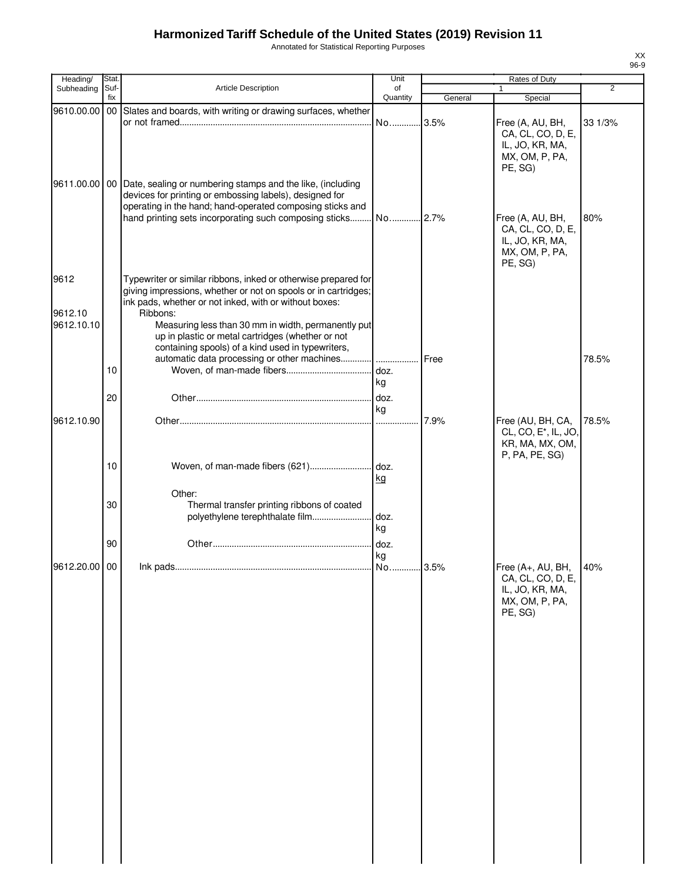Annotated for Statistical Reporting Purposes

| Heading/        | Stat.           |                                                                                                                                                                                                        | Unit           |         | Rates of Duty                                                                              |         |
|-----------------|-----------------|--------------------------------------------------------------------------------------------------------------------------------------------------------------------------------------------------------|----------------|---------|--------------------------------------------------------------------------------------------|---------|
| Subheading      | Suf-<br>fix     | Article Description                                                                                                                                                                                    | of<br>Quantity | General | $\mathbf{1}$<br>Special                                                                    | 2       |
| 9610.00.00      | 00 <sub>1</sub> | Slates and boards, with writing or drawing surfaces, whether                                                                                                                                           |                |         |                                                                                            |         |
|                 |                 |                                                                                                                                                                                                        | No 3.5%        |         | Free (A, AU, BH,<br>CA, CL, CO, D, E,<br>IL, JO, KR, MA,<br>MX, OM, P, PA,<br>PE, SG)      | 33 1/3% |
|                 |                 | 9611.00.00   00   Date, sealing or numbering stamps and the like, (including<br>devices for printing or embossing labels), designed for<br>operating in the hand; hand-operated composing sticks and   |                |         | Free (A, AU, BH,<br>CA, CL, CO, D, E,<br>IL, JO, KR, MA,<br>MX, OM, P, PA,<br>PE, SG)      | 80%     |
| 9612<br>9612.10 |                 | Typewriter or similar ribbons, inked or otherwise prepared for<br>giving impressions, whether or not on spools or in cartridges;<br>ink pads, whether or not inked, with or without boxes:<br>Ribbons: |                |         |                                                                                            |         |
| 9612.10.10      |                 | Measuring less than 30 mm in width, permanently put<br>up in plastic or metal cartridges (whether or not<br>containing spools) of a kind used in typewriters,                                          |                |         |                                                                                            |         |
|                 | 10<br>20        |                                                                                                                                                                                                        | kg             | Free    |                                                                                            | 78.5%   |
| 9612.10.90      |                 |                                                                                                                                                                                                        | ka             | 7.9%    | Free (AU, BH, CA,<br>CL, CO, E <sup>*</sup> , IL, JO,<br>KR, MA, MX, OM,<br>P, PA, PE, SG) | 78.5%   |
|                 | 10              | Woven, of man-made fibers (621)                                                                                                                                                                        | doz.<br>kg     |         |                                                                                            |         |
|                 | 30              | Other:<br>Thermal transfer printing ribbons of coated<br>polyethylene terephthalate film                                                                                                               | doz.<br>kg     |         |                                                                                            |         |
|                 | 90              |                                                                                                                                                                                                        | doz.<br>kg     |         |                                                                                            |         |
| 9612.20.00 00   |                 |                                                                                                                                                                                                        | No             | .3.5%   | Free (A+, AU, BH,<br>CA, CL, CO, D, E,<br>IL, JO, KR, MA,<br>MX, OM, P, PA,<br>PE, SG)     | 40%     |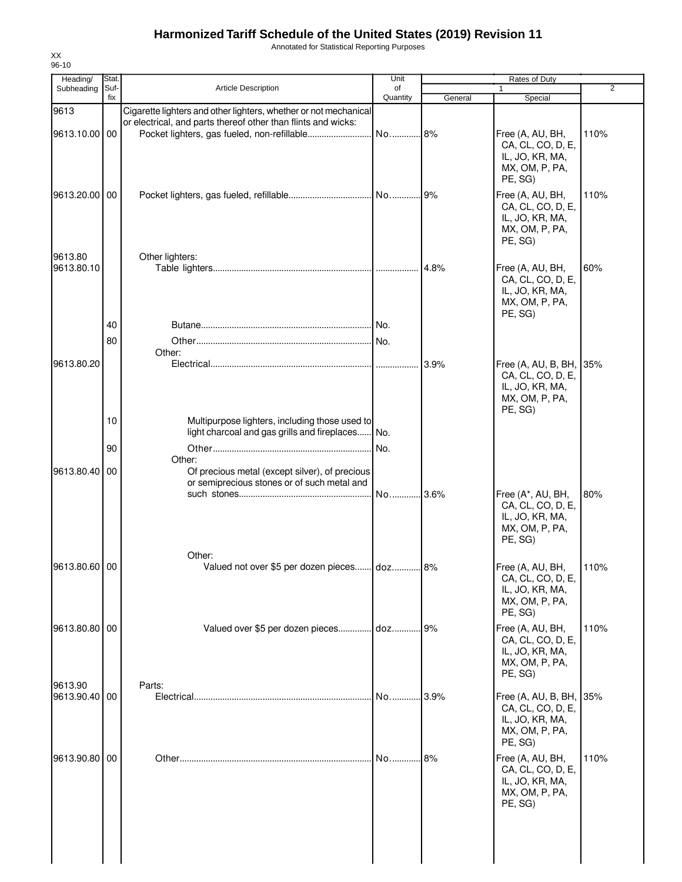Annotated for Statistical Reporting Purposes

| Heading/                 | Stat.       |                                                                  | Unit           |         | Rates of Duty                         |      |
|--------------------------|-------------|------------------------------------------------------------------|----------------|---------|---------------------------------------|------|
| Subheading               | Suf-<br>fix | <b>Article Description</b>                                       | of<br>Quantity | General | $\mathbf{1}$<br>Special               | 2    |
| 9613                     |             | Cigarette lighters and other lighters, whether or not mechanical |                |         |                                       |      |
|                          |             | or electrical, and parts thereof other than flints and wicks:    |                |         |                                       |      |
| 9613.10.00 00            |             |                                                                  |                |         | Free (A, AU, BH,                      | 110% |
|                          |             |                                                                  |                |         | CA, CL, CO, D, E,                     |      |
|                          |             |                                                                  |                |         | IL, JO, KR, MA,                       |      |
|                          |             |                                                                  |                |         | MX, OM, P, PA,<br>PE, SG)             |      |
|                          |             |                                                                  |                |         |                                       |      |
| 9613.20.00               | 00          |                                                                  |                |         | Free (A, AU, BH,<br>CA, CL, CO, D, E, | 110% |
|                          |             |                                                                  |                |         | IL, JO, KR, MA,                       |      |
|                          |             |                                                                  |                |         | MX, OM, P, PA,                        |      |
|                          |             |                                                                  |                |         | PE, SG)                               |      |
| 9613.80                  |             | Other lighters:                                                  |                |         |                                       |      |
| 9613.80.10               |             |                                                                  |                | 4.8%    | Free (A, AU, BH,                      | 60%  |
|                          |             |                                                                  |                |         | CA, CL, CO, D, E,                     |      |
|                          |             |                                                                  |                |         | IL, JO, KR, MA,                       |      |
|                          |             |                                                                  |                |         | MX, OM, P, PA,<br>PE, SG)             |      |
|                          | 40          |                                                                  |                |         |                                       |      |
|                          | 80          |                                                                  |                |         |                                       |      |
|                          |             | Other:                                                           |                |         |                                       |      |
| 9613.80.20               |             |                                                                  |                | 3.9%    | Free (A, AU, B, BH, 35%               |      |
|                          |             |                                                                  |                |         | CA, CL, CO, D, E,                     |      |
|                          |             |                                                                  |                |         | IL, JO, KR, MA,                       |      |
|                          |             |                                                                  |                |         | MX, OM, P, PA,<br>PE, SG)             |      |
|                          | 10          | Multipurpose lighters, including those used to                   |                |         |                                       |      |
|                          |             | light charcoal and gas grills and fireplaces                     | No.            |         |                                       |      |
|                          | 90          |                                                                  |                |         |                                       |      |
|                          |             | Other:                                                           |                |         |                                       |      |
| 9613.80.40               | 00          | Of precious metal (except silver), of precious                   |                |         |                                       |      |
|                          |             | or semiprecious stones or of such metal and                      |                |         |                                       |      |
|                          |             |                                                                  |                |         | Free (A*, AU, BH,                     | 80%  |
|                          |             |                                                                  |                |         | CA, CL, CO, D, E,<br>IL, JO, KR, MA,  |      |
|                          |             |                                                                  |                |         | MX, OM, P, PA,                        |      |
|                          |             |                                                                  |                |         | PE, SG)                               |      |
|                          |             | Other:                                                           |                |         |                                       |      |
| 9613.80.60 00            |             | Valued not over \$5 per dozen pieces doz.                        |                | 8%      | Free (A, AU, BH,                      | 110% |
|                          |             |                                                                  |                |         | CA, CL, CO, D, E,                     |      |
|                          |             |                                                                  |                |         | IL, JO, KR, MA,                       |      |
|                          |             |                                                                  |                |         | MX, OM, P, PA,<br>PE, SG)             |      |
| 9613.80.80 00            |             | Valued over \$5 per dozen pieces doz 9%                          |                |         | Free (A, AU, BH,                      | 110% |
|                          |             |                                                                  |                |         | CA, CL, CO, D, E,                     |      |
|                          |             |                                                                  |                |         | IL, JO, KR, MA,                       |      |
|                          |             |                                                                  |                |         | MX, OM, P, PA,                        |      |
|                          |             |                                                                  |                |         | PE, SG)                               |      |
| 9613.90<br>9613.90.40 00 |             | Parts:                                                           | No 3.9%        |         | Free (A, AU, B, BH, 35%               |      |
|                          |             |                                                                  |                |         | CA, CL, CO, D, E,                     |      |
|                          |             |                                                                  |                |         | IL, JO, KR, MA,                       |      |
|                          |             |                                                                  |                |         | MX, OM, P, PA,                        |      |
|                          |             |                                                                  |                |         | PE, SG)                               |      |
| 9613.90.80 00            |             |                                                                  | No             | .8%     | Free (A, AU, BH,                      | 110% |
|                          |             |                                                                  |                |         | CA, CL, CO, D, E,                     |      |
|                          |             |                                                                  |                |         | IL, JO, KR, MA,                       |      |
|                          |             |                                                                  |                |         | MX, OM, P, PA,<br>PE, SG)             |      |
|                          |             |                                                                  |                |         |                                       |      |
|                          |             |                                                                  |                |         |                                       |      |
|                          |             |                                                                  |                |         |                                       |      |
|                          |             |                                                                  |                |         |                                       |      |
|                          |             |                                                                  |                |         |                                       |      |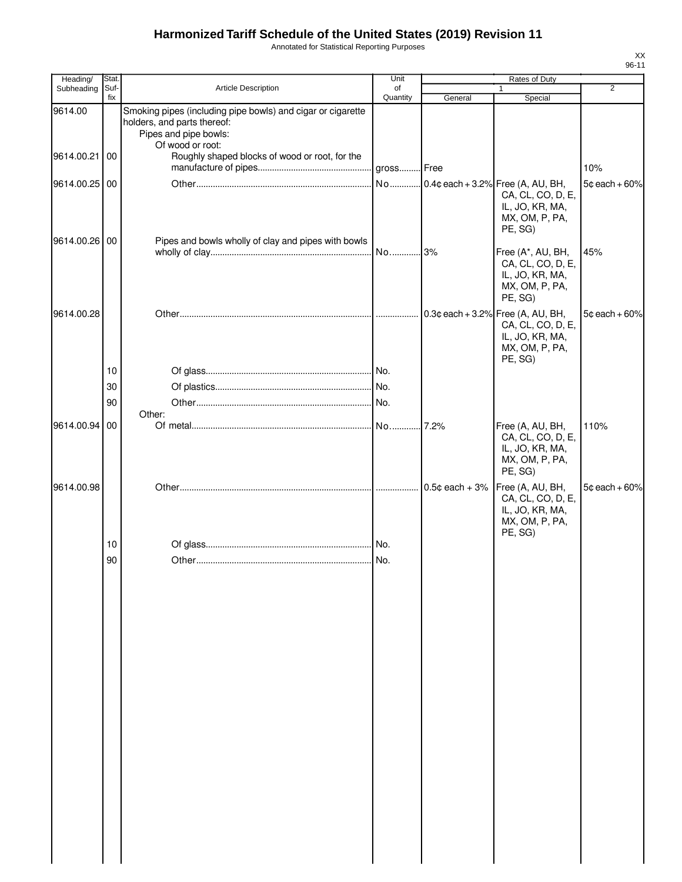Annotated for Statistical Reporting Purposes

| Heading/      | Stat.       |                                                                                                                     | Unit           |                  | Rates of Duty                                                                          | $\overline{2}$    |
|---------------|-------------|---------------------------------------------------------------------------------------------------------------------|----------------|------------------|----------------------------------------------------------------------------------------|-------------------|
| Subheading    | Suf-<br>fix | <b>Article Description</b>                                                                                          | of<br>Quantity | General          | Special                                                                                |                   |
| 9614.00       |             | Smoking pipes (including pipe bowls) and cigar or cigarette<br>holders, and parts thereof:<br>Pipes and pipe bowls: |                |                  |                                                                                        |                   |
| 9614.00.21 00 |             | Of wood or root:<br>Roughly shaped blocks of wood or root, for the                                                  |                |                  |                                                                                        | 10%               |
| 9614.00.25 00 |             |                                                                                                                     |                |                  | CA, CL, CO, D, E,<br>IL, JO, KR, MA,<br>MX, OM, P, PA,<br>PE, SG)                      | $5¢$ each + 60%   |
| 9614.00.26 00 |             | Pipes and bowls wholly of clay and pipes with bowls                                                                 |                |                  | Free (A*, AU, BH,<br>CA, CL, CO, D, E,<br>IL, JO, KR, MA,<br>MX, OM, P, PA,<br>PE, SG) | 45%               |
| 9614.00.28    |             |                                                                                                                     |                |                  | CA, CL, CO, D, E,<br>IL, JO, KR, MA,<br>MX, OM, P, PA,<br>PE, SG)                      | $5¢$ each + 60%   |
|               | 10          |                                                                                                                     |                |                  |                                                                                        |                   |
|               | 30          |                                                                                                                     |                |                  |                                                                                        |                   |
|               | 90          | Other:                                                                                                              |                |                  |                                                                                        |                   |
| 9614.00.94 00 |             |                                                                                                                     |                |                  | Free (A, AU, BH,<br>CA, CL, CO, D, E,<br>IL, JO, KR, MA,<br>MX, OM, P, PA,<br>PE, SG)  | 110%              |
| 9614.00.98    |             |                                                                                                                     |                | $0.5¢$ each + 3% | Free (A, AU, BH,<br>CA, CL, CO, D, E,<br>IL, JO, KR, MA,<br>MX, OM, P, PA,<br>PE, SG)  | $5¢$ each $+60\%$ |
|               | 10          |                                                                                                                     |                |                  |                                                                                        |                   |
|               | 90          |                                                                                                                     |                |                  |                                                                                        |                   |
|               |             |                                                                                                                     |                |                  |                                                                                        |                   |
|               |             |                                                                                                                     |                |                  |                                                                                        |                   |
|               |             |                                                                                                                     |                |                  |                                                                                        |                   |
|               |             |                                                                                                                     |                |                  |                                                                                        |                   |
|               |             |                                                                                                                     |                |                  |                                                                                        |                   |
|               |             |                                                                                                                     |                |                  |                                                                                        |                   |
|               |             |                                                                                                                     |                |                  |                                                                                        |                   |
|               |             |                                                                                                                     |                |                  |                                                                                        |                   |
|               |             |                                                                                                                     |                |                  |                                                                                        |                   |
|               |             |                                                                                                                     |                |                  |                                                                                        |                   |
|               |             |                                                                                                                     |                |                  |                                                                                        |                   |
|               |             |                                                                                                                     |                |                  |                                                                                        |                   |
|               |             |                                                                                                                     |                |                  |                                                                                        |                   |
|               |             |                                                                                                                     |                |                  |                                                                                        |                   |
|               |             |                                                                                                                     |                |                  |                                                                                        |                   |
|               |             |                                                                                                                     |                |                  |                                                                                        |                   |
|               |             |                                                                                                                     |                |                  |                                                                                        |                   |
|               |             |                                                                                                                     |                |                  |                                                                                        |                   |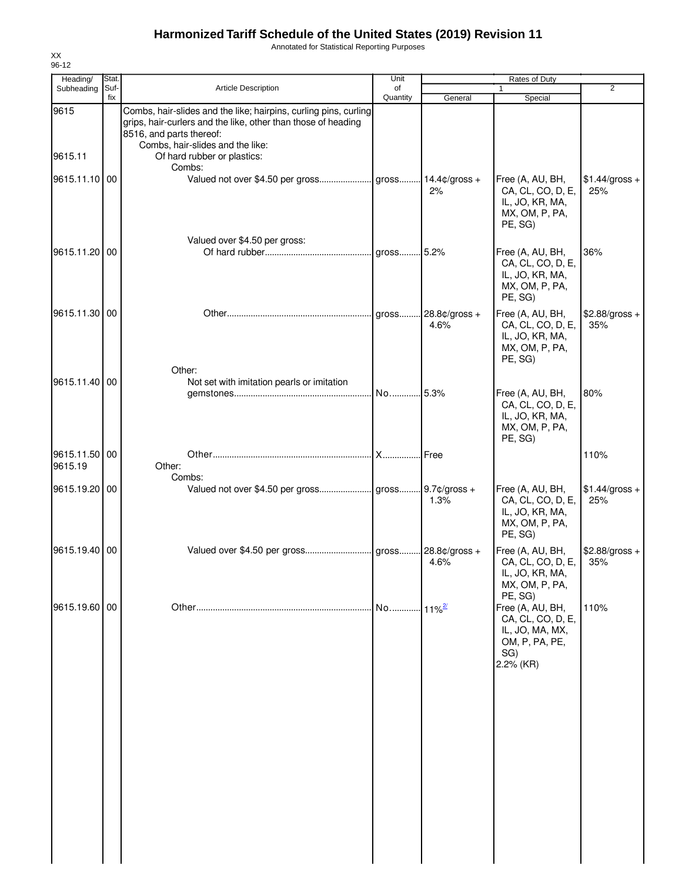Annotated for Statistical Reporting Purposes

| Heading/                 | Stat.       |                                                                                                                                                                                                                                  | Unit           |                             | Rates of Duty                                                                                  |                        |
|--------------------------|-------------|----------------------------------------------------------------------------------------------------------------------------------------------------------------------------------------------------------------------------------|----------------|-----------------------------|------------------------------------------------------------------------------------------------|------------------------|
| Subheading               | Suf-<br>fix | Article Description                                                                                                                                                                                                              | of<br>Quantity | General                     | 1<br>Special                                                                                   | $\overline{2}$         |
| 9615<br>9615.11          |             | Combs, hair-slides and the like; hairpins, curling pins, curling<br>grips, hair-curlers and the like, other than those of heading<br>8516, and parts thereof:<br>Combs, hair-slides and the like:<br>Of hard rubber or plastics: |                |                             |                                                                                                |                        |
| 9615.11.10 00            |             | Combs:                                                                                                                                                                                                                           |                | 2%                          | Free (A, AU, BH,<br>CA, CL, CO, D, E,                                                          | $$1.44/gross +$<br>25% |
| 9615.11.20 00            |             | Valued over \$4.50 per gross:                                                                                                                                                                                                    | gross          | 5.2%                        | IL, JO, KR, MA,<br>MX, OM, P, PA,<br>PE, SG)<br>Free (A, AU, BH,                               | 36%                    |
|                          |             |                                                                                                                                                                                                                                  |                |                             | CA, CL, CO, D, E,<br>IL, JO, KR, MA,<br>MX, OM, P, PA,<br>PE, SG)                              |                        |
| 9615.11.30 00            |             | Other:                                                                                                                                                                                                                           |                | gross 28.8¢/gross +<br>4.6% | Free (A, AU, BH,<br>CA, CL, CO, D, E,<br>IL, JO, KR, MA,<br>MX, OM, P, PA,<br>PE, SG)          | $$2.88/gross +$<br>35% |
| 9615.11.40               | 00          | Not set with imitation pearls or imitation                                                                                                                                                                                       | No             | .5.3%                       | Free (A, AU, BH,<br>CA, CL, CO, D, E,<br>IL, JO, KR, MA,<br>MX, OM, P, PA,<br>PE, SG)          | 80%                    |
| 9615.11.50 00<br>9615.19 |             | Other:<br>Combs:                                                                                                                                                                                                                 | <b>X</b>       | l Free                      |                                                                                                | 110%                   |
| 9615.19.20               | 00          |                                                                                                                                                                                                                                  |                | 1.3%                        | Free (A, AU, BH,<br>CA, CL, CO, D, E,<br>IL, JO, KR, MA,<br>MX, OM, P, PA,<br>PE, SG)          | $$1.44/gross +$<br>25% |
| 9615.19.40 00            |             |                                                                                                                                                                                                                                  |                | 4.6%                        | Free (A, AU, BH,<br>CA, CL, CO, D, E,<br>IL, JO, KR, MA,<br>MX, OM, P, PA,<br>PE, SG)          | $$2.88/gross +$<br>35% |
| 9615.19.60 00            |             |                                                                                                                                                                                                                                  | No             | $11\%$ <sup>2/</sup>        | Free (A, AU, BH,<br>CA, CL, CO, D, E,<br>IL, JO, MA, MX,<br>OM, P, PA, PE,<br>SG)<br>2.2% (KR) | 110%                   |
|                          |             |                                                                                                                                                                                                                                  |                |                             |                                                                                                |                        |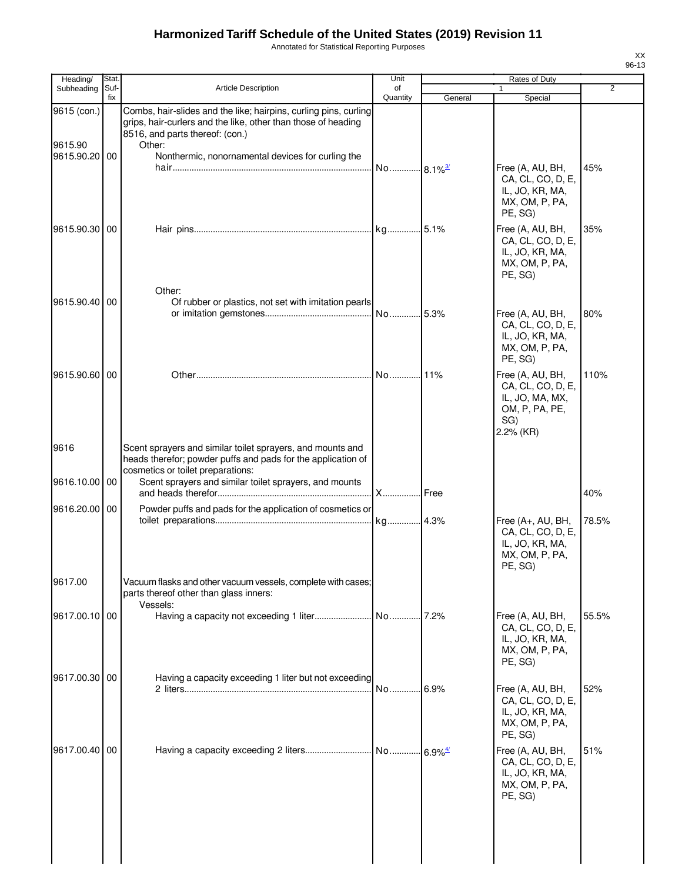Annotated for Statistical Reporting Purposes

| Heading/               | Stat.       |                                                                                                                                                                                | Unit                  |         | Rates of Duty                                                                                    |       |
|------------------------|-------------|--------------------------------------------------------------------------------------------------------------------------------------------------------------------------------|-----------------------|---------|--------------------------------------------------------------------------------------------------|-------|
| Subheading             | Suf-<br>fix | <b>Article Description</b>                                                                                                                                                     | of<br>Quantity        | General | 1<br>Special                                                                                     | 2     |
| 9615 (con.)<br>9615.90 |             | Combs, hair-slides and the like; hairpins, curling pins, curling<br>grips, hair-curlers and the like, other than those of heading<br>8516, and parts thereof: (con.)<br>Other: |                       |         |                                                                                                  |       |
| 9615.90.20 00          |             | Nonthermic, nonornamental devices for curling the                                                                                                                              | No 8.1% <sup>3/</sup> |         | Free (A, AU, BH,<br>CA, CL, CO, D, E,                                                            | 45%   |
| 9615.90.30 00          |             |                                                                                                                                                                                |                       |         | IL, JO, KR, MA,<br>MX, OM, P, PA,<br>PE, SG)<br>Free (A, AU, BH,                                 | 35%   |
|                        |             | Other:                                                                                                                                                                         |                       |         | CA, CL, CO, D, E,<br>IL, JO, KR, MA,<br>MX, OM, P, PA,<br>PE, SG)                                |       |
| 9615.90.40             | 00          | Of rubber or plastics, not set with imitation pearls                                                                                                                           |                       |         |                                                                                                  |       |
|                        |             |                                                                                                                                                                                | No 5.3%               |         | Free (A, AU, BH,<br>CA, CL, CO, D, E,<br>IL, JO, KR, MA,<br>MX, OM, P, PA,<br>PE, SG)            | 80%   |
| 9615.90.60 00          |             |                                                                                                                                                                                | No11%                 |         | Free (A, AU, BH,<br>CA, CL, CO, D, E,<br>IL, JO, MA, MX,<br>OM, P, PA, PE,<br>SG)<br>$2.2%$ (KR) | 110%  |
| 9616                   |             | Scent sprayers and similar toilet sprayers, and mounts and<br>heads therefor; powder puffs and pads for the application of<br>cosmetics or toilet preparations:                |                       |         |                                                                                                  |       |
| 9616.10.00 00          |             | Scent sprayers and similar toilet sprayers, and mounts                                                                                                                         | X                     | Free    |                                                                                                  | 40%   |
| 9616.20.00 00          |             | Powder puffs and pads for the application of cosmetics or                                                                                                                      |                       |         | Free (A+, AU, BH,                                                                                | 78.5% |
|                        |             |                                                                                                                                                                                |                       |         | CA, CL, CO, D, E,<br>IL, JO, KR, MA,<br>MX, OM, P, PA,<br>PE, SG)                                |       |
| 9617.00                |             | Vacuum flasks and other vacuum vessels, complete with cases;<br>parts thereof other than glass inners:<br>Vessels:                                                             |                       |         |                                                                                                  |       |
| 9617.00.10 00          |             |                                                                                                                                                                                |                       | .7.2%   | Free (A, AU, BH,<br>CA, CL, CO, D, E,<br>IL, JO, KR, MA,<br>MX, OM, P, PA,<br>PE, SG)            | 55.5% |
| 9617.00.30 00          |             | Having a capacity exceeding 1 liter but not exceeding                                                                                                                          | No                    | 6.9%    | Free (A, AU, BH,<br>CA, CL, CO, D, E,<br>IL, JO, KR, MA,<br>MX, OM, P, PA,                       | 52%   |
| 9617.00.40 00          |             |                                                                                                                                                                                |                       |         | PE, SG)<br>Free (A, AU, BH,<br>CA, CL, CO, D, E,<br>IL, JO, KR, MA,<br>MX, OM, P, PA,<br>PE, SG) | 51%   |
|                        |             |                                                                                                                                                                                |                       |         |                                                                                                  |       |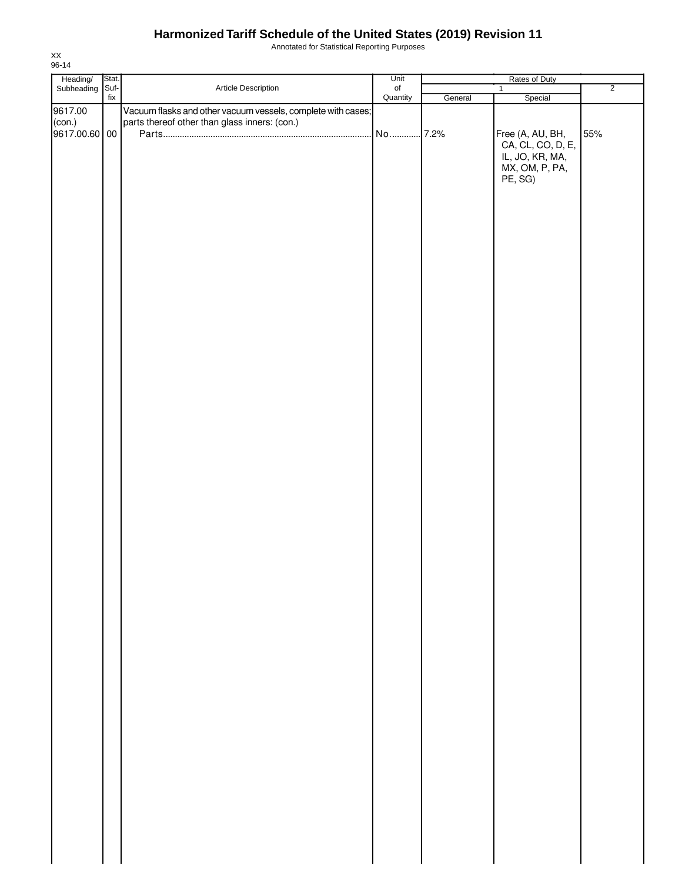Annotated for Statistical Reporting Purposes

| Heading/ Stat.<br>Subheading Suf- |                          |                                                              | Unit           | Rates of Duty |                   |                |  |
|-----------------------------------|--------------------------|--------------------------------------------------------------|----------------|---------------|-------------------|----------------|--|
|                                   |                          | Article Description                                          | of<br>Quantity |               | $\mathbf{1}$      | $\overline{2}$ |  |
|                                   | $\operatorname{\sf fix}$ |                                                              |                | General       | Special           |                |  |
|                                   |                          |                                                              |                |               |                   |                |  |
| 9617.00                           |                          | Vacuum flasks and other vacuum vessels, complete with cases; |                |               |                   |                |  |
| (con.)                            |                          | parts thereof other than glass inners: (con.)                |                |               |                   |                |  |
| 9617.00.60 00                     |                          |                                                              | No  7.2%       |               | Free (A, AU, BH,  | 55%            |  |
|                                   |                          |                                                              |                |               |                   |                |  |
|                                   |                          |                                                              |                |               | CA, CL, CO, D, E, |                |  |
|                                   |                          |                                                              |                |               | IL, JO, KR, MA,   |                |  |
|                                   |                          |                                                              |                |               | MX, OM, P, PA,    |                |  |
|                                   |                          |                                                              |                |               |                   |                |  |
|                                   |                          |                                                              |                |               | PE, SG)           |                |  |
|                                   |                          |                                                              |                |               |                   |                |  |
|                                   |                          |                                                              |                |               |                   |                |  |
|                                   |                          |                                                              |                |               |                   |                |  |
|                                   |                          |                                                              |                |               |                   |                |  |
|                                   |                          |                                                              |                |               |                   |                |  |
|                                   |                          |                                                              |                |               |                   |                |  |
|                                   |                          |                                                              |                |               |                   |                |  |
|                                   |                          |                                                              |                |               |                   |                |  |
|                                   |                          |                                                              |                |               |                   |                |  |
|                                   |                          |                                                              |                |               |                   |                |  |
|                                   |                          |                                                              |                |               |                   |                |  |
|                                   |                          |                                                              |                |               |                   |                |  |
|                                   |                          |                                                              |                |               |                   |                |  |
|                                   |                          |                                                              |                |               |                   |                |  |
|                                   |                          |                                                              |                |               |                   |                |  |
|                                   |                          |                                                              |                |               |                   |                |  |
|                                   |                          |                                                              |                |               |                   |                |  |
|                                   |                          |                                                              |                |               |                   |                |  |
|                                   |                          |                                                              |                |               |                   |                |  |
|                                   |                          |                                                              |                |               |                   |                |  |
|                                   |                          |                                                              |                |               |                   |                |  |
|                                   |                          |                                                              |                |               |                   |                |  |
|                                   |                          |                                                              |                |               |                   |                |  |
|                                   |                          |                                                              |                |               |                   |                |  |
|                                   |                          |                                                              |                |               |                   |                |  |
|                                   |                          |                                                              |                |               |                   |                |  |
|                                   |                          |                                                              |                |               |                   |                |  |
|                                   |                          |                                                              |                |               |                   |                |  |
|                                   |                          |                                                              |                |               |                   |                |  |
|                                   |                          |                                                              |                |               |                   |                |  |
|                                   |                          |                                                              |                |               |                   |                |  |
|                                   |                          |                                                              |                |               |                   |                |  |
|                                   |                          |                                                              |                |               |                   |                |  |
|                                   |                          |                                                              |                |               |                   |                |  |
|                                   |                          |                                                              |                |               |                   |                |  |
|                                   |                          |                                                              |                |               |                   |                |  |
|                                   |                          |                                                              |                |               |                   |                |  |
|                                   |                          |                                                              |                |               |                   |                |  |
|                                   |                          |                                                              |                |               |                   |                |  |
|                                   |                          |                                                              |                |               |                   |                |  |
|                                   |                          |                                                              |                |               |                   |                |  |
|                                   |                          |                                                              |                |               |                   |                |  |
|                                   |                          |                                                              |                |               |                   |                |  |
|                                   |                          |                                                              |                |               |                   |                |  |
|                                   |                          |                                                              |                |               |                   |                |  |
|                                   |                          |                                                              |                |               |                   |                |  |
|                                   |                          |                                                              |                |               |                   |                |  |
|                                   |                          |                                                              |                |               |                   |                |  |
|                                   |                          |                                                              |                |               |                   |                |  |
|                                   |                          |                                                              |                |               |                   |                |  |
|                                   |                          |                                                              |                |               |                   |                |  |
|                                   |                          |                                                              |                |               |                   |                |  |
|                                   |                          |                                                              |                |               |                   |                |  |
|                                   |                          |                                                              |                |               |                   |                |  |
|                                   |                          |                                                              |                |               |                   |                |  |
|                                   |                          |                                                              |                |               |                   |                |  |
|                                   |                          |                                                              |                |               |                   |                |  |
|                                   |                          |                                                              |                |               |                   |                |  |
|                                   |                          |                                                              |                |               |                   |                |  |
|                                   |                          |                                                              |                |               |                   |                |  |
|                                   |                          |                                                              |                |               |                   |                |  |
|                                   |                          |                                                              |                |               |                   |                |  |
|                                   |                          |                                                              |                |               |                   |                |  |
|                                   |                          |                                                              |                |               |                   |                |  |
|                                   |                          |                                                              |                |               |                   |                |  |
|                                   |                          |                                                              |                |               |                   |                |  |
|                                   |                          |                                                              |                |               |                   |                |  |
|                                   |                          |                                                              |                |               |                   |                |  |
|                                   |                          |                                                              |                |               |                   |                |  |
|                                   |                          |                                                              |                |               |                   |                |  |
|                                   |                          |                                                              |                |               |                   |                |  |
|                                   |                          |                                                              |                |               |                   |                |  |
|                                   |                          |                                                              |                |               |                   |                |  |
|                                   |                          |                                                              |                |               |                   |                |  |
|                                   |                          |                                                              |                |               |                   |                |  |
|                                   |                          |                                                              |                |               |                   |                |  |
|                                   |                          |                                                              |                |               |                   |                |  |
|                                   |                          |                                                              |                |               |                   |                |  |
|                                   |                          |                                                              |                |               |                   |                |  |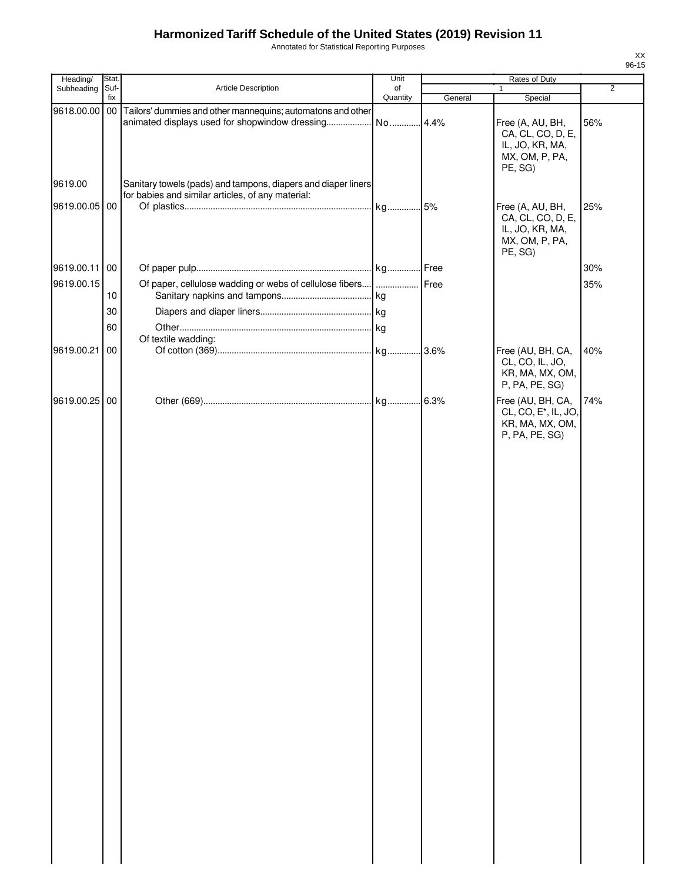Annotated for Statistical Reporting Purposes

| υ<br>n. |  |
|---------|--|

| Heading/      | Stat.       |                                                                                                                    | Unit                |         | Rates of Duty                                                                                    |                |
|---------------|-------------|--------------------------------------------------------------------------------------------------------------------|---------------------|---------|--------------------------------------------------------------------------------------------------|----------------|
| Subheading    | Suf-<br>fix | Article Description                                                                                                | of                  |         | 1                                                                                                | $\overline{2}$ |
| 9618.00.00 00 |             | Tailors' dummies and other mannequins; automatons and other<br>animated displays used for shopwindow dressing      | Quantity<br>No 4.4% | General | Special<br>Free (A, AU, BH,<br>CA, CL, CO, D, E,<br>IL, JO, KR, MA,<br>MX, OM, P, PA,<br>PE, SG) | 56%            |
| 9619.00       |             | Sanitary towels (pads) and tampons, diapers and diaper liners<br>for babies and similar articles, of any material: |                     |         |                                                                                                  |                |
| 9619.00.05 00 |             |                                                                                                                    |                     |         | Free (A, AU, BH,<br>CA, CL, CO, D, E,<br>IL, JO, KR, MA,<br>MX, OM, P, PA,<br>PE, SG)            | 25%            |
| 9619.00.11 00 |             |                                                                                                                    |                     |         |                                                                                                  | 30%            |
| 9619.00.15    |             | Of paper, cellulose wadding or webs of cellulose fibers                                                            |                     | Free    |                                                                                                  | 35%            |
|               | 10          |                                                                                                                    |                     |         |                                                                                                  |                |
|               | 30          |                                                                                                                    |                     |         |                                                                                                  |                |
|               | 60          |                                                                                                                    |                     |         |                                                                                                  |                |
|               |             | Of textile wadding:                                                                                                |                     |         |                                                                                                  |                |
| 9619.00.21    | 00          |                                                                                                                    |                     |         | Free (AU, BH, CA,<br>CL, CO, IL, JO,<br>KR, MA, MX, OM,<br>P, PA, PE, SG)                        | 40%            |
| 9619.00.25 00 |             |                                                                                                                    |                     |         | Free (AU, BH, CA,<br>CL, CO, E <sup>*</sup> , IL, JO,<br>KR, MA, MX, OM,<br>P, PA, PE, SG)       | 74%            |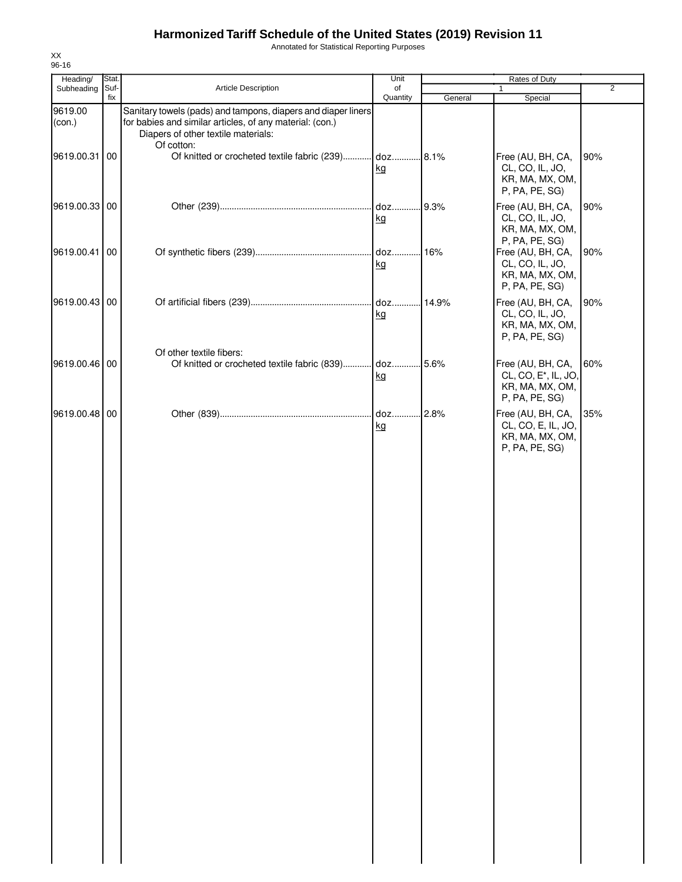Annotated for Statistical Reporting Purposes

| Heading/          | Stat.       |                                                                                                                                                                                | Unit           |         | Rates of Duty                                                                                  |                |
|-------------------|-------------|--------------------------------------------------------------------------------------------------------------------------------------------------------------------------------|----------------|---------|------------------------------------------------------------------------------------------------|----------------|
| Subheading        | Suf-<br>fix | Article Description                                                                                                                                                            | of<br>Quantity | General | 1<br>Special                                                                                   | $\overline{2}$ |
| 9619.00<br>(con.) |             | Sanitary towels (pads) and tampons, diapers and diaper liners<br>for babies and similar articles, of any material: (con.)<br>Diapers of other textile materials:<br>Of cotton: |                |         |                                                                                                |                |
| 9619.00.31        | 00          | Of knitted or crocheted textile fabric (239) doz 8.1%                                                                                                                          | kg             |         | Free (AU, BH, CA,<br>CL, CO, IL, JO,<br>KR, MA, MX, OM,<br>P, PA, PE, SG)                      | 90%            |
| 9619.00.33 00     |             |                                                                                                                                                                                | kg             | .9.3%   | Free (AU, BH, CA,<br>CL, CO, IL, JO,<br>KR, MA, MX, OM,<br>P, PA, PE, SG)                      | 90%            |
| 9619.00.41        | 00          |                                                                                                                                                                                | kg             |         | Free (AU, BH, CA,<br>CL, CO, IL, JO,<br>KR, MA, MX, OM,<br>P, PA, PE, SG)                      | 90%            |
| 9619.00.43 00     |             |                                                                                                                                                                                | kg             | .14.9%  | Free (AU, BH, CA,<br>CL, CO, IL, JO,<br>KR, MA, MX, OM,<br>P, PA, PE, SG)                      | 90%            |
| 9619.00.46 00     |             | Of other textile fibers:<br>Of knitted or crocheted textile fabric (839) doz 5.6%                                                                                              | kg             |         | Free (AU, BH, CA,<br>CL, CO, E <sup>*</sup> , IL, JO,<br>KR, MA, MX, OM,                       | 60%            |
| 9619.00.48 00     |             |                                                                                                                                                                                | kg             |         | P, PA, PE, SG)<br>Free (AU, BH, CA,<br>CL, CO, E, IL, JO,<br>KR, MA, MX, OM,<br>P, PA, PE, SG) | 35%            |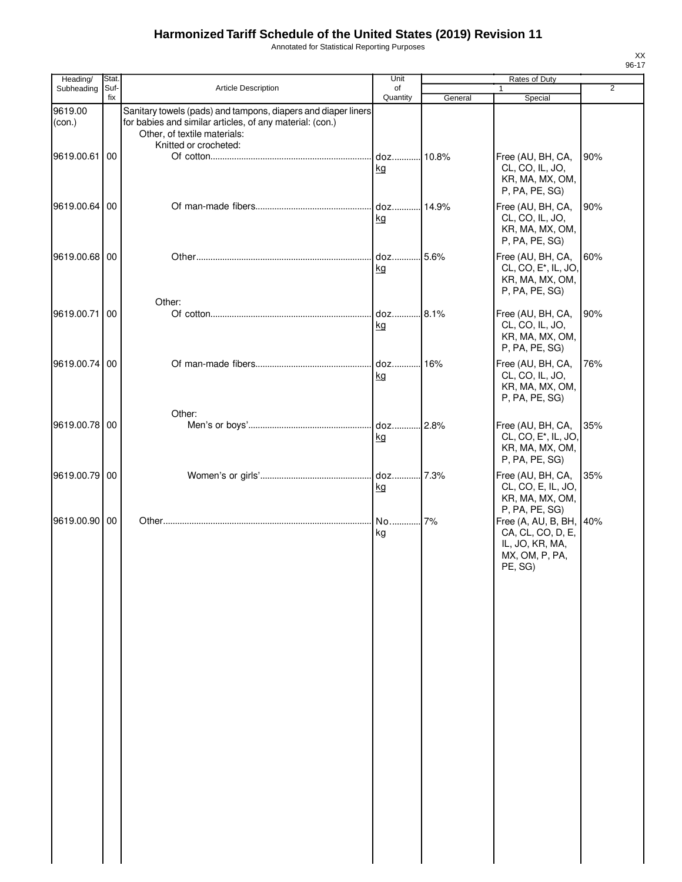Annotated for Statistical Reporting Purposes

| ۰. |  |
|----|--|

| Heading/          | Stat. |                                                                                                                                                           | Unit               |         | Rates of Duty                                                                                                  |                |
|-------------------|-------|-----------------------------------------------------------------------------------------------------------------------------------------------------------|--------------------|---------|----------------------------------------------------------------------------------------------------------------|----------------|
| Subheading        | Suf-  | Article Description                                                                                                                                       | of                 |         | 1                                                                                                              | $\overline{2}$ |
| 9619.00<br>(con.) | fix   | Sanitary towels (pads) and tampons, diapers and diaper liners<br>for babies and similar articles, of any material: (con.)<br>Other, of textile materials: | Quantity           | General | Special                                                                                                        |                |
| 9619.00.61        | 00    | Knitted or crocheted:                                                                                                                                     | doz 10.8%<br>kg    |         | Free (AU, BH, CA,<br>CL, CO, IL, JO,<br>KR, MA, MX, OM,<br>P, PA, PE, SG)                                      | 90%            |
| 9619.00.64 00     |       |                                                                                                                                                           | $doz$<br>kg        | 14.9%   | Free (AU, BH, CA,<br>CL, CO, IL, JO,<br>KR, MA, MX, OM,<br>P, PA, PE, SG)                                      | 90%            |
| 9619.00.68 00     |       |                                                                                                                                                           | doz<br>kg          | .5.6%   | Free (AU, BH, CA,<br>CL, CO, E <sup>*</sup> , IL, JO,<br>KR, MA, MX, OM,<br>P, PA, PE, SG)                     | 60%            |
| 9619.00.71        | 00    | Other:                                                                                                                                                    | $doz$<br><u>kg</u> | 8.1%    | Free (AU, BH, CA,<br>CL, CO, IL, JO,<br>KR, MA, MX, OM,<br>P, PA, PE, SG)                                      | 90%            |
| 9619.00.74 00     |       |                                                                                                                                                           | doz<br>kg          | .16%    | Free (AU, BH, CA,<br>CL, CO, IL, JO,<br>KR, MA, MX, OM,<br>P, PA, PE, SG)                                      | 76%            |
| 9619.00.78 00     |       | Other:                                                                                                                                                    | doz<br>kg          | 2.8%    | Free (AU, BH, CA,<br>CL, CO, E <sup>*</sup> , IL, JO,<br>KR, MA, MX, OM,<br>P, PA, PE, SG)                     | 35%            |
| 9619.00.79 00     |       |                                                                                                                                                           | doz<br>kg          | 7.3%    | Free (AU, BH, CA,<br>CL, CO, E, IL, JO,<br>KR, MA, MX, OM,                                                     | 35%            |
| 9619.00.90 00     |       |                                                                                                                                                           | No<br>kg           | 7%      | P, PA, PE, SG)<br>Free (A, AU, B, BH, 40%<br>CA, CL, CO, D, E,<br>IL, JO, KR, MA,<br>MX, OM, P, PA,<br>PE, SG) |                |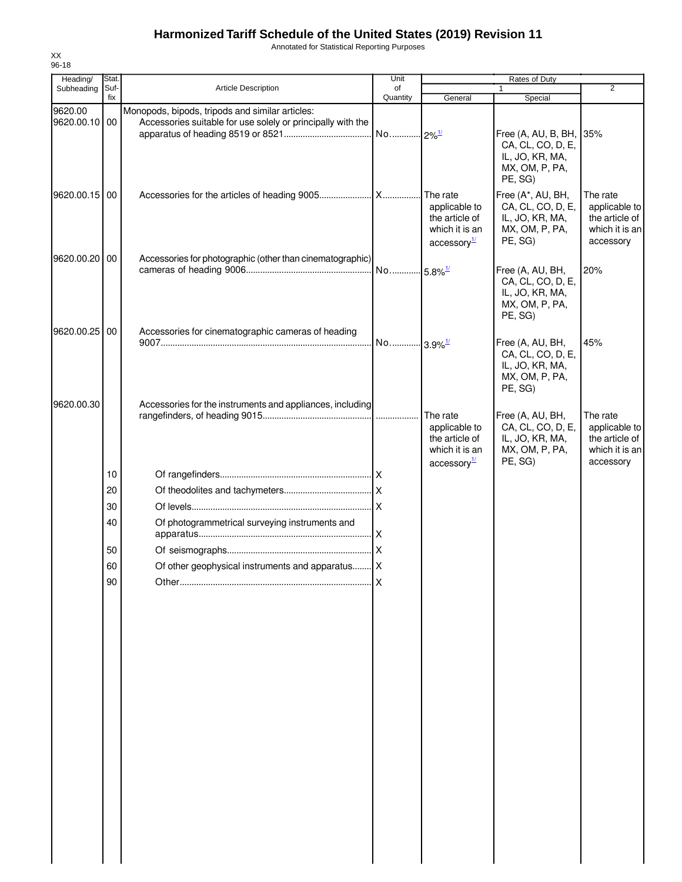Annotated for Statistical Reporting Purposes

| Heading/                 | Stat.       |                                                                                                                | Unit                  |                                                                                             | Rates of Duty                                                                                |                                                                            |
|--------------------------|-------------|----------------------------------------------------------------------------------------------------------------|-----------------------|---------------------------------------------------------------------------------------------|----------------------------------------------------------------------------------------------|----------------------------------------------------------------------------|
| Subheading               | Suf-<br>fix | <b>Article Description</b>                                                                                     | of<br>Quantity        | General                                                                                     | $\mathbf{1}$<br>Special                                                                      | 2                                                                          |
| 9620.00<br>9620.00.10 00 |             | Monopods, bipods, tripods and similar articles:<br>Accessories suitable for use solely or principally with the |                       |                                                                                             | Free (A, AU, B, BH, 35%<br>CA, CL, CO, D, E,<br>IL, JO, KR, MA,<br>MX, OM, P, PA,<br>PE, SG) |                                                                            |
| 9620.00.15 00            |             |                                                                                                                |                       | The rate<br>applicable to<br>the article of<br>which it is an<br>$\arccosq y^{\frac{1}{2}}$ | Free (A*, AU, BH,<br>CA, CL, CO, D, E,<br>IL, JO, KR, MA,<br>MX, OM, P, PA,<br>PE, SG)       | The rate<br>applicable to<br>the article of<br>which it is an<br>accessory |
| 9620.00.20               | 00          | Accessories for photographic (other than cinematographic)                                                      |                       |                                                                                             | Free (A, AU, BH,<br>CA, CL, CO, D, E,<br>IL, JO, KR, MA,<br>MX, OM, P, PA,<br>PE, SG)        | 20%                                                                        |
| 9620.00.25 00            |             | Accessories for cinematographic cameras of heading                                                             | No 3.9% <sup>1/</sup> |                                                                                             | Free (A, AU, BH,<br>CA, CL, CO, D, E,<br>IL, JO, KR, MA,<br>MX, OM, P, PA,<br>PE, SG)        | 45%                                                                        |
| 9620.00.30               |             | Accessories for the instruments and appliances, including                                                      |                       | The rate<br>applicable to<br>the article of<br>which it is an<br>$\arccosq y^{\frac{1}{2}}$ | Free (A, AU, BH,<br>CA, CL, CO, D, E,<br>IL, JO, KR, MA,<br>MX, OM, P, PA,<br>PE, SG)        | The rate<br>applicable to<br>the article of<br>which it is an<br>accessory |
|                          | 10          |                                                                                                                |                       |                                                                                             |                                                                                              |                                                                            |
|                          | 20          |                                                                                                                |                       |                                                                                             |                                                                                              |                                                                            |
|                          | 30          |                                                                                                                |                       |                                                                                             |                                                                                              |                                                                            |
|                          | 40          | Of photogrammetrical surveying instruments and                                                                 |                       |                                                                                             |                                                                                              |                                                                            |
|                          | 50          |                                                                                                                |                       |                                                                                             |                                                                                              |                                                                            |
|                          | 60          | Of other geophysical instruments and apparatus X                                                               |                       |                                                                                             |                                                                                              |                                                                            |
|                          | 90          |                                                                                                                | ΙX                    |                                                                                             |                                                                                              |                                                                            |
|                          |             |                                                                                                                |                       |                                                                                             |                                                                                              |                                                                            |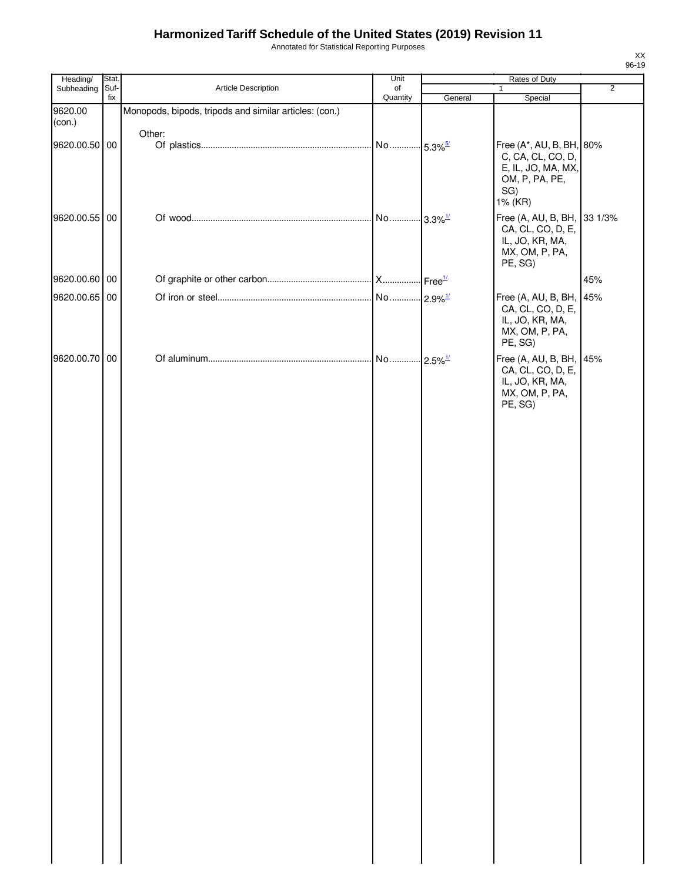Annotated for Statistical Reporting Purposes

| Heading/          | Stat.       |                                                        | Unit                  | Rates of Duty |                                                                                                         |                |  |
|-------------------|-------------|--------------------------------------------------------|-----------------------|---------------|---------------------------------------------------------------------------------------------------------|----------------|--|
| Subheading        | Suf-<br>fix | Article Description                                    | of<br>Quantity        | General       | $\mathbf{1}$<br>Special                                                                                 | $\overline{2}$ |  |
| 9620.00<br>(con.) |             | Monopods, bipods, tripods and similar articles: (con.) |                       |               |                                                                                                         |                |  |
| 9620.00.50 00     |             | Other:                                                 | No 5.3% <sup>5/</sup> |               | Free (A*, AU, B, BH, 80%<br>C, CA, CL, CO, D,<br>E, IL, JO, MA, MX,<br>OM, P, PA, PE,<br>SG)<br>1% (KR) |                |  |
| 9620.00.55 00     |             |                                                        | No 3.3% <sup>1/</sup> |               | Free (A, AU, B, BH, 33 1/3%<br>CA, CL, CO, D, E,<br>IL, JO, KR, MA,<br>MX, OM, P, PA,<br>PE, SG)        |                |  |
| 9620.00.60 00     |             |                                                        |                       |               |                                                                                                         | 45%            |  |
| 9620.00.65 00     |             |                                                        |                       |               | Free (A, AU, B, BH, 45%                                                                                 |                |  |
|                   |             |                                                        |                       |               | CA, CL, CO, D, E,<br>IL, JO, KR, MA,<br>MX, OM, P, PA,<br>PE, SG)                                       |                |  |
| 9620.00.70 00     |             |                                                        |                       |               | Free (A, AU, B, BH, 45%<br>CA, CL, CO, D, E,<br>IL, JO, KR, MA,<br>MX, OM, P, PA,<br>PE, SG)            |                |  |
|                   |             |                                                        |                       |               |                                                                                                         |                |  |